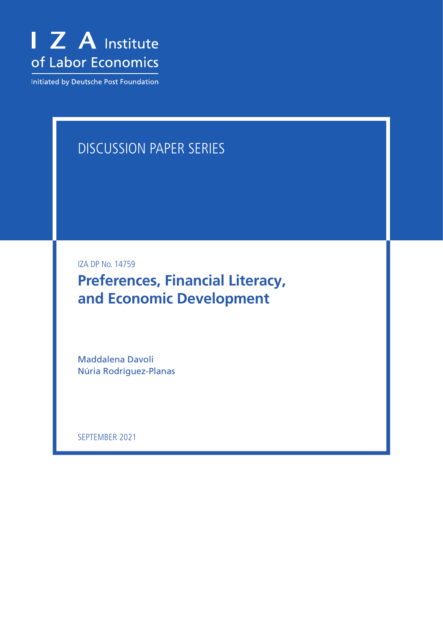

Initiated by Deutsche Post Foundation

# DISCUSSION PAPER SERIES

IZA DP No. 14759

**Preferences, Financial Literacy, and Economic Development**

Maddalena Davoli Núria Rodríguez-Planas

SEPTEMBER 2021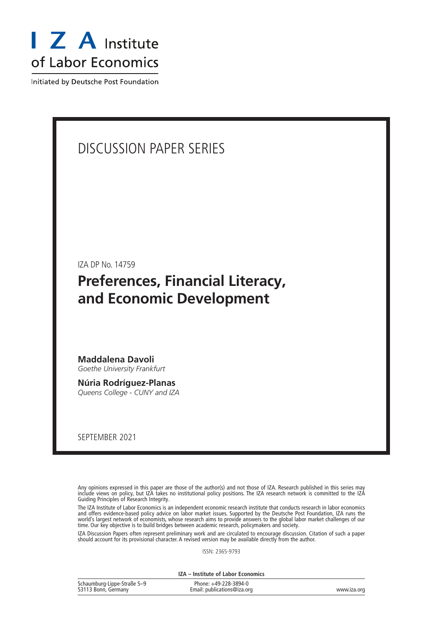

Initiated by Deutsche Post Foundation

### DISCUSSION PAPER SERIES

IZA DP No. 14759

### **Preferences, Financial Literacy, and Economic Development**

**Maddalena Davoli** *Goethe University Frankfurt*

**Núria Rodríguez-Planas** *Queens College - CUNY and IZA*

SEPTEMBER 2021

Any opinions expressed in this paper are those of the author(s) and not those of IZA. Research published in this series may include views on policy, but IZA takes no institutional policy positions. The IZA research network is committed to the IZA Guiding Principles of Research Integrity.

The IZA Institute of Labor Economics is an independent economic research institute that conducts research in labor economics and offers evidence-based policy advice on labor market issues. Supported by the Deutsche Post Foundation, IZA runs the world's largest network of economists, whose research aims to provide answers to the global labor market challenges of our time. Our key objective is to build bridges between academic research, policymakers and society.

IZA Discussion Papers often represent preliminary work and are circulated to encourage discussion. Citation of such a paper should account for its provisional character. A revised version may be available directly from the author.

ISSN: 2365-9793

**IZA – Institute of Labor Economics**

| Schaumburg-Lippe-Straße 5-9 | Phone: +49-228-3894-0       |             |
|-----------------------------|-----------------------------|-------------|
| 53113 Bonn, Germany         | Email: publications@iza.org | www.iza.org |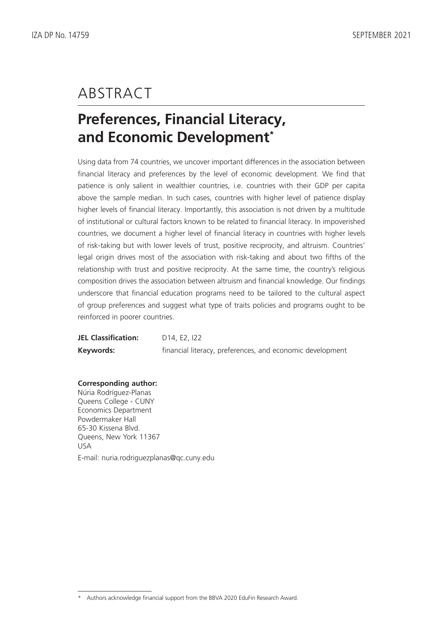### ABSTRACT

# **Preferences, Financial Literacy, and Economic Development\***

Using data from 74 countries, we uncover important differences in the association between financial literacy and preferences by the level of economic development. We find that patience is only salient in wealthier countries, i.e. countries with their GDP per capita above the sample median. In such cases, countries with higher level of patience display higher levels of financial literacy. Importantly, this association is not driven by a multitude of institutional or cultural factors known to be related to financial literacy. In impoverished countries, we document a higher level of financial literacy in countries with higher levels of risk-taking but with lower levels of trust, positive reciprocity, and altruism. Countries' legal origin drives most of the association with risk-taking and about two fifths of the relationship with trust and positive reciprocity. At the same time, the country's religious composition drives the association between altruism and financial knowledge. Our findings underscore that financial education programs need to be tailored to the cultural aspect of group preferences and suggest what type of traits policies and programs ought to be reinforced in poorer countries.

| <b>JEL Classification:</b> | D <sub>14</sub> , E <sub>2</sub> , 22                     |
|----------------------------|-----------------------------------------------------------|
| Keywords:                  | financial literacy, preferences, and economic development |

#### **Corresponding author:**

Núria Rodríguez-Planas Queens College - CUNY Economics Department Powdermaker Hall 65-30 Kissena Blvd. Queens, New York 11367 USA E-mail: nuria.rodriguezplanas@qc.cuny.edu

Authors acknowledge financial support from the BBVA 2020 EduFin Research Award.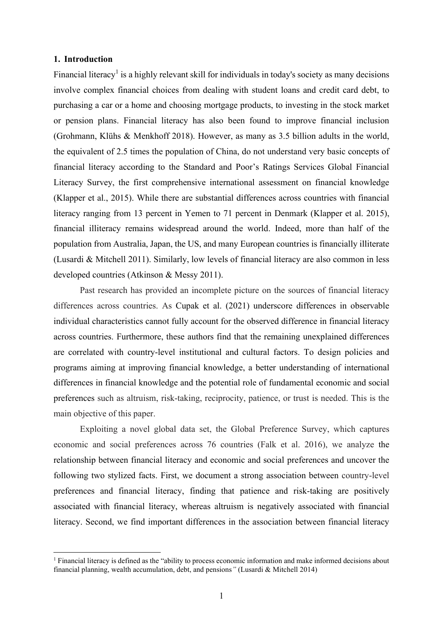#### **1. Introduction**

Financial literacy<sup>1</sup> is a highly relevant skill for individuals in today's society as many decisions involve complex financial choices from dealing with student loans and credit card debt, to purchasing a car or a home and choosing mortgage products, to investing in the stock market or pension plans. Financial literacy has also been found to improve financial inclusion (Grohmann, Klühs & Menkhoff 2018). However, as many as 3.5 billion adults in the world, the equivalent of 2.5 times the population of China, do not understand very basic concepts of financial literacy according to the Standard and Poor's Ratings Services Global Financial Literacy Survey, the first comprehensive international assessment on financial knowledge (Klapper et al., 2015). While there are substantial differences across countries with financial literacy ranging from 13 percent in Yemen to 71 percent in Denmark (Klapper et al. 2015), financial illiteracy remains widespread around the world. Indeed, more than half of the population from Australia, Japan, the US, and many European countries is financially illiterate (Lusardi & Mitchell 2011). Similarly, low levels of financial literacy are also common in less developed countries (Atkinson & Messy 2011).

Past research has provided an incomplete picture on the sources of financial literacy differences across countries. As Cupak et al. (2021) underscore differences in observable individual characteristics cannot fully account for the observed difference in financial literacy across countries. Furthermore, these authors find that the remaining unexplained differences are correlated with country-level institutional and cultural factors. To design policies and programs aiming at improving financial knowledge, a better understanding of international differences in financial knowledge and the potential role of fundamental economic and social preferences such as altruism, risk-taking, reciprocity, patience, or trust is needed. This is the main objective of this paper.

Exploiting a novel global data set, the Global Preference Survey, which captures economic and social preferences across 76 countries (Falk et al. 2016), we analyze the relationship between financial literacy and economic and social preferences and uncover the following two stylized facts. First, we document a strong association between country-level preferences and financial literacy, finding that patience and risk-taking are positively associated with financial literacy, whereas altruism is negatively associated with financial literacy. Second, we find important differences in the association between financial literacy

<sup>&</sup>lt;sup>1</sup> Financial literacy is defined as the "ability to process economic information and make informed decisions about financial planning, wealth accumulation, debt, and pensions*"* (Lusardi & Mitchell 2014)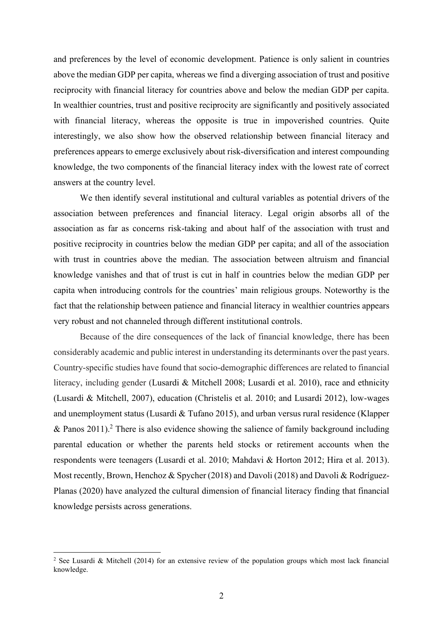and preferences by the level of economic development. Patience is only salient in countries above the median GDP per capita, whereas we find a diverging association of trust and positive reciprocity with financial literacy for countries above and below the median GDP per capita. In wealthier countries, trust and positive reciprocity are significantly and positively associated with financial literacy, whereas the opposite is true in impoverished countries. Quite interestingly, we also show how the observed relationship between financial literacy and preferences appears to emerge exclusively about risk-diversification and interest compounding knowledge, the two components of the financial literacy index with the lowest rate of correct answers at the country level.

We then identify several institutional and cultural variables as potential drivers of the association between preferences and financial literacy. Legal origin absorbs all of the association as far as concerns risk-taking and about half of the association with trust and positive reciprocity in countries below the median GDP per capita; and all of the association with trust in countries above the median. The association between altruism and financial knowledge vanishes and that of trust is cut in half in countries below the median GDP per capita when introducing controls for the countries' main religious groups. Noteworthy is the fact that the relationship between patience and financial literacy in wealthier countries appears very robust and not channeled through different institutional controls.

Because of the dire consequences of the lack of financial knowledge, there has been considerably academic and public interest in understanding its determinants over the past years. Country-specific studies have found that socio-demographic differences are related to financial literacy, including gender (Lusardi & Mitchell 2008; Lusardi et al. 2010), race and ethnicity (Lusardi & Mitchell, 2007), education (Christelis et al. 2010; and Lusardi 2012), low-wages and unemployment status (Lusardi & Tufano 2015), and urban versus rural residence (Klapper & Panos 2011). <sup>2</sup> There is also evidence showing the salience of family background including parental education or whether the parents held stocks or retirement accounts when the respondents were teenagers (Lusardi et al. 2010; Mahdavi & Horton 2012; Hira et al. 2013). Most recently, Brown, Henchoz & Spycher (2018) and Davoli (2018) and Davoli & Rodríguez-Planas (2020) have analyzed the cultural dimension of financial literacy finding that financial knowledge persists across generations.

<sup>&</sup>lt;sup>2</sup> See Lusardi & Mitchell (2014) for an extensive review of the population groups which most lack financial knowledge.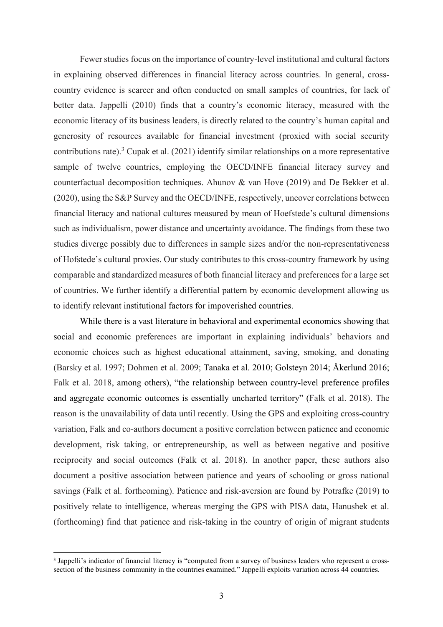Fewer studies focus on the importance of country-level institutional and cultural factors in explaining observed differences in financial literacy across countries. In general, crosscountry evidence is scarcer and often conducted on small samples of countries, for lack of better data. Jappelli (2010) finds that a country's economic literacy, measured with the economic literacy of its business leaders, is directly related to the country's human capital and generosity of resources available for financial investment (proxied with social security contributions rate). <sup>3</sup> Cupak et al. (2021) identify similar relationships on a more representative sample of twelve countries, employing the OECD/INFE financial literacy survey and counterfactual decomposition techniques. Ahunov & van Hove (2019) and De Bekker et al. (2020), using the S&P Survey and the OECD/INFE, respectively, uncover correlations between financial literacy and national cultures measured by mean of Hoefstede's cultural dimensions such as individualism, power distance and uncertainty avoidance. The findings from these two studies diverge possibly due to differences in sample sizes and/or the non-representativeness of Hofstede's cultural proxies. Our study contributes to this cross-country framework by using comparable and standardized measures of both financial literacy and preferences for a large set of countries. We further identify a differential pattern by economic development allowing us to identify relevant institutional factors for impoverished countries.

While there is a vast literature in behavioral and experimental economics showing that social and economic preferences are important in explaining individuals' behaviors and economic choices such as highest educational attainment, saving, smoking, and donating (Barsky et al. 1997; Dohmen et al. 2009; Tanaka et al. 2010; Golsteyn 2014; Åkerlund 2016; Falk et al. 2018, among others), "the relationship between country-level preference profiles and aggregate economic outcomes is essentially uncharted territory" (Falk et al. 2018). The reason is the unavailability of data until recently. Using the GPS and exploiting cross-country variation, Falk and co-authors document a positive correlation between patience and economic development, risk taking, or entrepreneurship, as well as between negative and positive reciprocity and social outcomes (Falk et al. 2018). In another paper, these authors also document a positive association between patience and years of schooling or gross national savings (Falk et al. forthcoming). Patience and risk-aversion are found by Potrafke (2019) to positively relate to intelligence, whereas merging the GPS with PISA data, Hanushek et al. (forthcoming) find that patience and risk-taking in the country of origin of migrant students

<sup>&</sup>lt;sup>3</sup> Jappelli's indicator of financial literacy is "computed from a survey of business leaders who represent a crosssection of the business community in the countries examined." Jappelli exploits variation across 44 countries.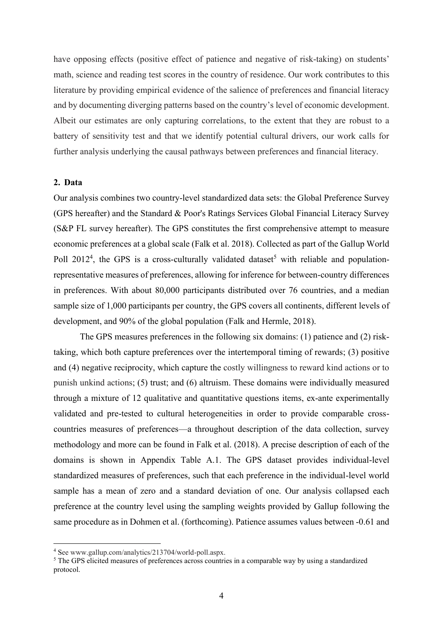have opposing effects (positive effect of patience and negative of risk-taking) on students' math, science and reading test scores in the country of residence. Our work contributes to this literature by providing empirical evidence of the salience of preferences and financial literacy and by documenting diverging patterns based on the country's level of economic development. Albeit our estimates are only capturing correlations, to the extent that they are robust to a battery of sensitivity test and that we identify potential cultural drivers, our work calls for further analysis underlying the causal pathways between preferences and financial literacy.

#### **2. Data**

Our analysis combines two country-level standardized data sets: the Global Preference Survey (GPS hereafter) and the Standard & Poor's Ratings Services Global Financial Literacy Survey (S&P FL survey hereafter). The GPS constitutes the first comprehensive attempt to measure economic preferences at a global scale (Falk et al. 2018). Collected as part of the Gallup World Poll  $2012<sup>4</sup>$ , the GPS is a cross-culturally validated dataset<sup>5</sup> with reliable and populationrepresentative measures of preferences, allowing for inference for between-country differences in preferences. With about 80,000 participants distributed over 76 countries, and a median sample size of 1,000 participants per country, the GPS covers all continents, different levels of development, and 90% of the global population (Falk and Hermle, 2018).

The GPS measures preferences in the following six domains: (1) patience and (2) risktaking, which both capture preferences over the intertemporal timing of rewards; (3) positive and (4) negative reciprocity, which capture the costly willingness to reward kind actions or to punish unkind actions; (5) trust; and (6) altruism. These domains were individually measured through a mixture of 12 qualitative and quantitative questions items, ex-ante experimentally validated and pre-tested to cultural heterogeneities in order to provide comparable crosscountries measures of preferences—a throughout description of the data collection, survey methodology and more can be found in Falk et al. (2018). A precise description of each of the domains is shown in Appendix Table A.1. The GPS dataset provides individual-level standardized measures of preferences, such that each preference in the individual-level world sample has a mean of zero and a standard deviation of one. Our analysis collapsed each preference at the country level using the sampling weights provided by Gallup following the same procedure as in Dohmen et al. (forthcoming). Patience assumes values between -0.61 and

<sup>4</sup> See www.gallup.com/analytics/213704/world-poll.aspx.

<sup>&</sup>lt;sup>5</sup> The GPS elicited measures of preferences across countries in a comparable way by using a standardized protocol.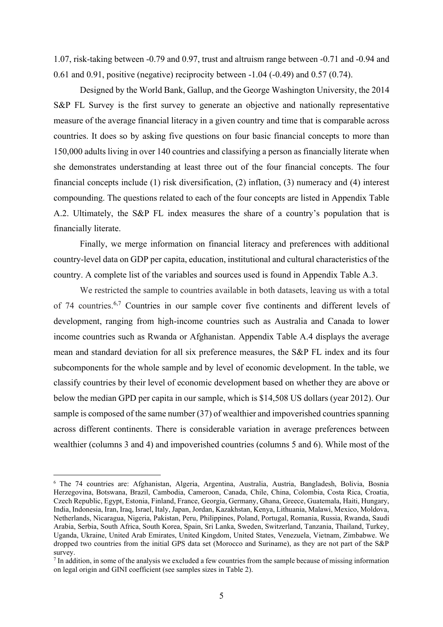1.07, risk-taking between -0.79 and 0.97, trust and altruism range between -0.71 and -0.94 and 0.61 and 0.91, positive (negative) reciprocity between  $-1.04$  ( $-0.49$ ) and 0.57 (0.74).

Designed by the World Bank, Gallup, and the George Washington University, the 2014 S&P FL Survey is the first survey to generate an objective and nationally representative measure of the average financial literacy in a given country and time that is comparable across countries. It does so by asking five questions on four basic financial concepts to more than 150,000 adults living in over 140 countries and classifying a person as financially literate when she demonstrates understanding at least three out of the four financial concepts. The four financial concepts include (1) risk diversification, (2) inflation, (3) numeracy and (4) interest compounding. The questions related to each of the four concepts are listed in Appendix Table A.2. Ultimately, the S&P FL index measures the share of a country's population that is financially literate.

Finally, we merge information on financial literacy and preferences with additional country-level data on GDP per capita, education, institutional and cultural characteristics of the country. A complete list of the variables and sources used is found in Appendix Table A.3.

We restricted the sample to countries available in both datasets, leaving us with a total of 74 countries.<sup>6,7</sup> Countries in our sample cover five continents and different levels of development, ranging from high-income countries such as Australia and Canada to lower income countries such as Rwanda or Afghanistan. Appendix Table A.4 displays the average mean and standard deviation for all six preference measures, the S&P FL index and its four subcomponents for the whole sample and by level of economic development. In the table, we classify countries by their level of economic development based on whether they are above or below the median GPD per capita in our sample, which is \$14,508 US dollars (year 2012). Our sample is composed of the same number (37) of wealthier and impoverished countries spanning across different continents. There is considerable variation in average preferences between wealthier (columns 3 and 4) and impoverished countries (columns 5 and 6). While most of the

<sup>6</sup> The 74 countries are: Afghanistan, Algeria, Argentina, Australia, Austria, Bangladesh, Bolivia, Bosnia Herzegovina, Botswana, Brazil, Cambodia, Cameroon, Canada, Chile, China, Colombia, Costa Rica, Croatia, Czech Republic, Egypt, Estonia, Finland, France, Georgia, Germany, Ghana, Greece, Guatemala, Haiti, Hungary, India, Indonesia, Iran, Iraq, Israel, Italy, Japan, Jordan, Kazakhstan, Kenya, Lithuania, Malawi, Mexico, Moldova, Netherlands, Nicaragua, Nigeria, Pakistan, Peru, Philippines, Poland, Portugal, Romania, Russia, Rwanda, Saudi Arabia, Serbia, South Africa, South Korea, Spain, Sri Lanka, Sweden, Switzerland, Tanzania, Thailand, Turkey, Uganda, Ukraine, United Arab Emirates, United Kingdom, United States, Venezuela, Vietnam, Zimbabwe. We dropped two countries from the initial GPS data set (Morocco and Suriname), as they are not part of the S&P survey.

<sup>&</sup>lt;sup>7</sup> In addition, in some of the analysis we excluded a few countries from the sample because of missing information on legal origin and GINI coefficient (see samples sizes in Table 2).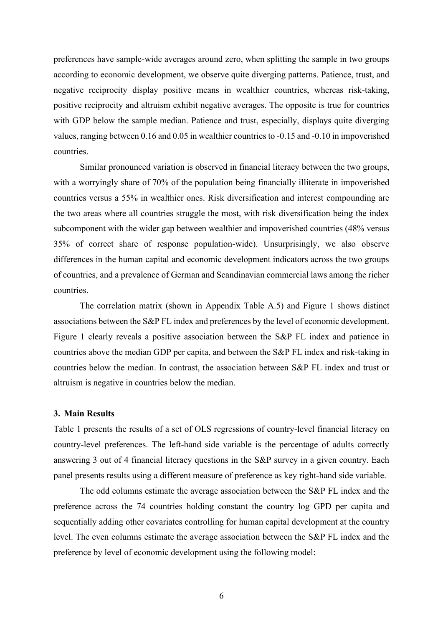preferences have sample-wide averages around zero, when splitting the sample in two groups according to economic development, we observe quite diverging patterns. Patience, trust, and negative reciprocity display positive means in wealthier countries, whereas risk-taking, positive reciprocity and altruism exhibit negative averages. The opposite is true for countries with GDP below the sample median. Patience and trust, especially, displays quite diverging values, ranging between 0.16 and 0.05 in wealthier countries to -0.15 and -0.10 in impoverished countries.

Similar pronounced variation is observed in financial literacy between the two groups, with a worryingly share of 70% of the population being financially illiterate in impoverished countries versus a 55% in wealthier ones. Risk diversification and interest compounding are the two areas where all countries struggle the most, with risk diversification being the index subcomponent with the wider gap between wealthier and impoverished countries (48% versus 35% of correct share of response population-wide). Unsurprisingly, we also observe differences in the human capital and economic development indicators across the two groups of countries, and a prevalence of German and Scandinavian commercial laws among the richer countries.

The correlation matrix (shown in Appendix Table A.5) and Figure 1 shows distinct associations between the S&P FL index and preferences by the level of economic development. Figure 1 clearly reveals a positive association between the S&P FL index and patience in countries above the median GDP per capita, and between the S&P FL index and risk-taking in countries below the median. In contrast, the association between S&P FL index and trust or altruism is negative in countries below the median.

#### **3. Main Results**

Table 1 presents the results of a set of OLS regressions of country-level financial literacy on country-level preferences. The left-hand side variable is the percentage of adults correctly answering 3 out of 4 financial literacy questions in the S&P survey in a given country. Each panel presents results using a different measure of preference as key right-hand side variable.

The odd columns estimate the average association between the S&P FL index and the preference across the 74 countries holding constant the country log GPD per capita and sequentially adding other covariates controlling for human capital development at the country level. The even columns estimate the average association between the S&P FL index and the preference by level of economic development using the following model: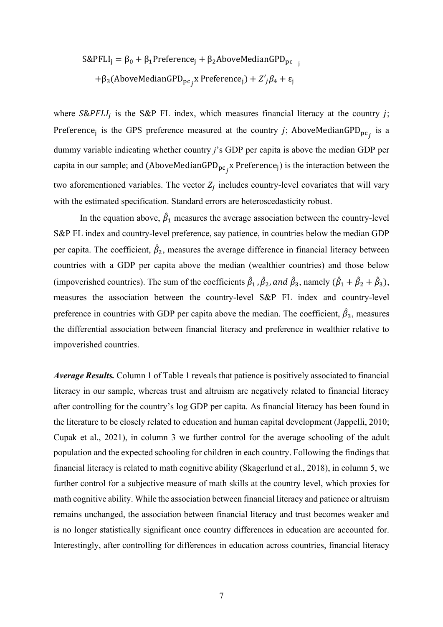$$
S\&PFLI_j = \beta_0 + \beta_1 Preference_j + \beta_2 A boveMedian GPD_{pc}
$$
  
+ $\beta_3 (A boveMedian GPD_{pc_j} x Preference_j) + Z'_j \beta_4 + \varepsilon_j$ 

where  $S\&PFLI_i$  is the S&P FL index, which measures financial literacy at the country j; Preference<sub>j</sub> is the GPS preference measured at the country *j*; AboveMedianGPD<sub>pc<sub>j</sub></sub> is a dummy variable indicating whether country *j*'s GDP per capita is above the median GDP per capita in our sample; and (AboveMedianGPD<sub>pc<sub>j</sub></sub>x Preference<sub>j</sub>) is the interaction between the two aforementioned variables. The vector  $Z_i$  includes country-level covariates that will vary with the estimated specification. Standard errors are heteroscedasticity robust.

In the equation above,  $\hat{\beta}_1$  measures the average association between the country-level S&P FL index and country-level preference, say patience, in countries below the median GDP per capita. The coefficient,  $\hat{\beta}_2$ , measures the average difference in financial literacy between countries with a GDP per capita above the median (wealthier countries) and those below (impoverished countries). The sum of the coefficients  $\hat{\beta}_1$ ,  $\hat{\beta}_2$ , and  $\hat{\beta}_3$ , namely  $(\hat{\beta}_1 + \hat{\beta}_2 + \hat{\beta}_3)$ , measures the association between the country-level S&P FL index and country-level preference in countries with GDP per capita above the median. The coefficient,  $\hat{\beta}_3$ , measures the differential association between financial literacy and preference in wealthier relative to impoverished countries.

*Average Results.* Column 1 of Table 1 reveals that patience is positively associated to financial literacy in our sample, whereas trust and altruism are negatively related to financial literacy after controlling for the country's log GDP per capita. As financial literacy has been found in the literature to be closely related to education and human capital development (Jappelli, 2010; Cupak et al., 2021), in column 3 we further control for the average schooling of the adult population and the expected schooling for children in each country. Following the findings that financial literacy is related to math cognitive ability (Skagerlund et al., 2018), in column 5, we further control for a subjective measure of math skills at the country level, which proxies for math cognitive ability. While the association between financial literacy and patience or altruism remains unchanged, the association between financial literacy and trust becomes weaker and is no longer statistically significant once country differences in education are accounted for. Interestingly, after controlling for differences in education across countries, financial literacy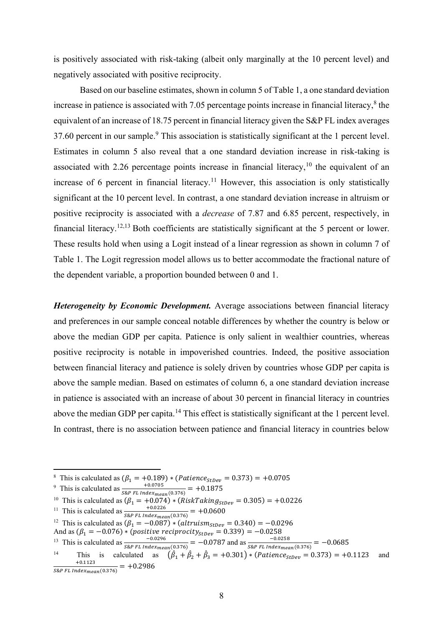is positively associated with risk-taking (albeit only marginally at the 10 percent level) and negatively associated with positive reciprocity.

Based on our baseline estimates, shown in column 5 of Table 1, a one standard deviation increase in patience is associated with 7.05 percentage points increase in financial literacy, <sup>8</sup> the equivalent of an increase of 18.75 percent in financial literacy given the S&P FL index averages 37.60 percent in our sample. <sup>9</sup> This association is statistically significant at the 1 percent level. Estimates in column 5 also reveal that a one standard deviation increase in risk-taking is associated with 2.26 percentage points increase in financial literacy, $10$  the equivalent of an increase of 6 percent in financial literacy.<sup>11</sup> However, this association is only statistically significant at the 10 percent level. In contrast, a one standard deviation increase in altruism or positive reciprocity is associated with a *decrease* of 7.87 and 6.85 percent, respectively, in financial literacy.12,13 Both coefficients are statistically significant at the 5 percent or lower. These results hold when using a Logit instead of a linear regression as shown in column 7 of Table 1. The Logit regression model allows us to better accommodate the fractional nature of the dependent variable, a proportion bounded between 0 and 1.

*Heterogeneity by Economic Development.* Average associations between financial literacy and preferences in our sample conceal notable differences by whether the country is below or above the median GDP per capita. Patience is only salient in wealthier countries, whereas positive reciprocity is notable in impoverished countries. Indeed, the positive association between financial literacy and patience is solely driven by countries whose GDP per capita is above the sample median. Based on estimates of column 6, a one standard deviation increase in patience is associated with an increase of about 30 percent in financial literacy in countries above the median GDP per capita.<sup>14</sup> This effect is statistically significant at the 1 percent level. In contrast, there is no association between patience and financial literacy in countries below

<sup>&</sup>lt;sup>8</sup> This is calculated as  $(\beta_1 = +0.189) * (Patience_{stDev} = 0.373) = +0.0705$ 

<sup>&</sup>lt;sup>9</sup> This is calculated as  $\frac{+0.0705}{S\&PFL\ln{de{x}_{mean}(0.376)}} = +0.1875$ 

<sup>&</sup>lt;sup>10</sup> This is calculated as  $(\beta_1 = +0.074) * (RiskTaking_{\text{step}} = 0.305) = +0.0226$ 

<sup>&</sup>lt;sup>11</sup> This is calculated as  $\frac{+0.0226}{s_{\&}PL\ Index_{mean}(0.376)} = +0.0600$ 

<sup>&</sup>lt;sup>12</sup> This is calculated as  $(\beta_1 = -0.087) * (a[truism_{StDev} = 0.340) = -0.0296$ 

And as  $(\beta_1 = -0.076) * (positive\ reciprocity_{StDev} = 0.339) = -0.0258$ 

<sup>&</sup>lt;sup>13</sup> This is calculated as  $\frac{-0.0296}{s_{\&P} F L \cdot Index_{mean}(0.376)} = -0.0787$  and as  $\frac{-0.0258}{s_{\&P} F L \cdot Index_{mean}(0.376)} = -0.0685$ 

<sup>&</sup>lt;sup>14</sup> This is calculated as  $(\hat{\beta}_1 + \hat{\beta}_2 + \hat{\beta}_3 = +0.301) * (Patience_{stDev} = 0.373) = +0.1123$  and  $+0.1123$  $\frac{+0.1123}{S\&P\ FL\ Index_{mean}(0.376)} = +0.2986$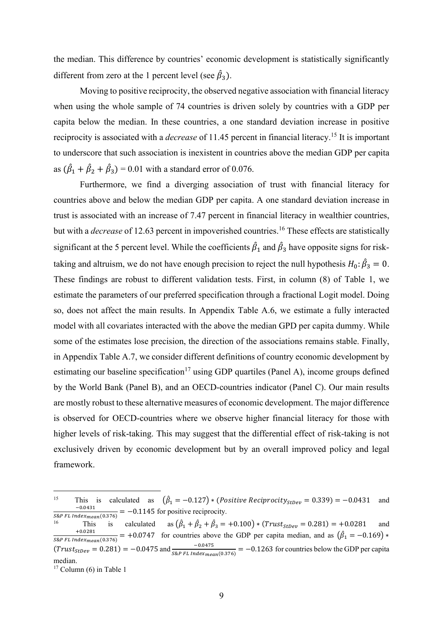the median. This difference by countries' economic development is statistically significantly different from zero at the 1 percent level (see  $\hat{\beta}_3$ ).

Moving to positive reciprocity, the observed negative association with financial literacy when using the whole sample of 74 countries is driven solely by countries with a GDP per capita below the median. In these countries, a one standard deviation increase in positive reciprocity is associated with a *decrease* of 11.45 percent in financial literacy.<sup>15</sup> It is important to underscore that such association is inexistent in countries above the median GDP per capita as  $(\hat{\beta}_1 + \hat{\beta}_2 + \hat{\beta}_3) = 0.01$  with a standard error of 0.076.

Furthermore, we find a diverging association of trust with financial literacy for countries above and below the median GDP per capita. A one standard deviation increase in trust is associated with an increase of 7.47 percent in financial literacy in wealthier countries, but with a *decrease* of 12.63 percent in impoverished countries. <sup>16</sup> These effects are statistically significant at the 5 percent level. While the coefficients  $\hat{\beta}_1$  and  $\hat{\beta}_3$  have opposite signs for risktaking and altruism, we do not have enough precision to reject the null hypothesis  $H_0: \hat{\beta}_3 = 0$ . These findings are robust to different validation tests. First, in column (8) of Table 1, we estimate the parameters of our preferred specification through a fractional Logit model. Doing so, does not affect the main results. In Appendix Table A.6, we estimate a fully interacted model with all covariates interacted with the above the median GPD per capita dummy. While some of the estimates lose precision, the direction of the associations remains stable. Finally, in Appendix Table A.7, we consider different definitions of country economic development by estimating our baseline specification<sup>17</sup> using GDP quartiles (Panel A), income groups defined by the World Bank (Panel B), and an OECD-countries indicator (Panel C). Our main results are mostly robust to these alternative measures of economic development. The major difference is observed for OECD-countries where we observe higher financial literacy for those with higher levels of risk-taking. This may suggest that the differential effect of risk-taking is not exclusively driven by economic development but by an overall improved policy and legal framework.

<sup>&</sup>lt;sup>15</sup> This is calculated as  $(\hat{\beta}_1 = -0.127) * (Positive Reciprocity_{stDev} = 0.339) = -0.0431$  and  $-0.0431$  $\frac{-0.0431}{S\&P\,FL\,Index_{mean}(0.376)} = -0.1145$  for positive reciprocity.

<sup>&</sup>lt;sup>16</sup> This is calculated as  $(\hat{\beta}_1 + \hat{\beta}_2 + \hat{\beta})$ This is calculated as  $(\hat{\beta}_1 + \hat{\beta}_2 + \hat{\beta}_3 = +0.100) * (Trust_{stDev} = 0.281) = +0.0281$  and  $+0.0281$  $\frac{+0.0281}{S\&PFL Index_{mean}(0.376)}$  = +0.0747 for countries above the GDP per capita median, and as  $(\hat{\beta}_1 = -0.169)$  \*  $(Trust_{StDev} = 0.281) = -0.0475$  and  $\frac{-0.0475}{s_{\&P} FL Index_{mean}(0.376)} = -0.1263$  for countries below the GDP per capita median.

 $17$  Column (6) in Table 1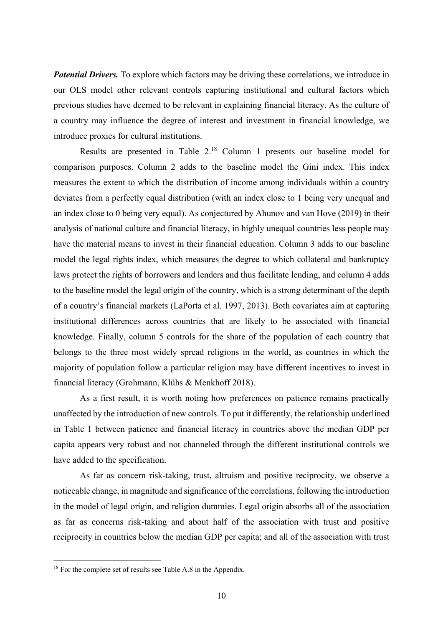*Potential Drivers.* To explore which factors may be driving these correlations, we introduce in our OLS model other relevant controls capturing institutional and cultural factors which previous studies have deemed to be relevant in explaining financial literacy. As the culture of a country may influence the degree of interest and investment in financial knowledge, we introduce proxies for cultural institutions.

Results are presented in Table 2. <sup>18</sup> Column 1 presents our baseline model for comparison purposes. Column 2 adds to the baseline model the Gini index. This index measures the extent to which the distribution of income among individuals within a country deviates from a perfectly equal distribution (with an index close to 1 being very unequal and an index close to 0 being very equal). As conjectured by Ahunov and van Hove (2019) in their analysis of national culture and financial literacy, in highly unequal countries less people may have the material means to invest in their financial education. Column 3 adds to our baseline model the legal rights index, which measures the degree to which collateral and bankruptcy laws protect the rights of borrowers and lenders and thus facilitate lending, and column 4 adds to the baseline model the legal origin of the country, which is a strong determinant of the depth of a country's financial markets (LaPorta et al. 1997, 2013). Both covariates aim at capturing institutional differences across countries that are likely to be associated with financial knowledge. Finally, column 5 controls for the share of the population of each country that belongs to the three most widely spread religions in the world, as countries in which the majority of population follow a particular religion may have different incentives to invest in financial literacy (Grohmann, Klühs & Menkhoff 2018).

As a first result, it is worth noting how preferences on patience remains practically unaffected by the introduction of new controls. To put it differently, the relationship underlined in Table 1 between patience and financial literacy in countries above the median GDP per capita appears very robust and not channeled through the different institutional controls we have added to the specification.

As far as concern risk-taking, trust, altruism and positive reciprocity, we observe a noticeable change, in magnitude and significance of the correlations, following the introduction in the model of legal origin, and religion dummies. Legal origin absorbs all of the association as far as concerns risk-taking and about half of the association with trust and positive reciprocity in countries below the median GDP per capita; and all of the association with trust

<sup>&</sup>lt;sup>18</sup> For the complete set of results see Table A.8 in the Appendix.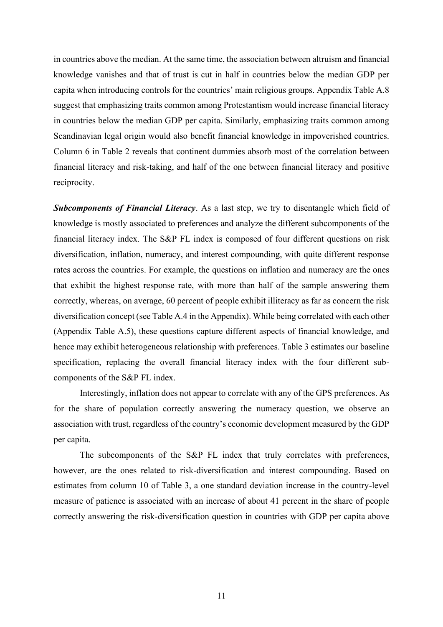in countries above the median. At the same time, the association between altruism and financial knowledge vanishes and that of trust is cut in half in countries below the median GDP per capita when introducing controls for the countries' main religious groups. Appendix Table A.8 suggest that emphasizing traits common among Protestantism would increase financial literacy in countries below the median GDP per capita. Similarly, emphasizing traits common among Scandinavian legal origin would also benefit financial knowledge in impoverished countries. Column 6 in Table 2 reveals that continent dummies absorb most of the correlation between financial literacy and risk-taking, and half of the one between financial literacy and positive reciprocity.

*Subcomponents of Financial Literacy*. As a last step, we try to disentangle which field of knowledge is mostly associated to preferences and analyze the different subcomponents of the financial literacy index. The S&P FL index is composed of four different questions on risk diversification, inflation, numeracy, and interest compounding, with quite different response rates across the countries. For example, the questions on inflation and numeracy are the ones that exhibit the highest response rate, with more than half of the sample answering them correctly, whereas, on average, 60 percent of people exhibit illiteracy as far as concern the risk diversification concept (see Table A.4 in the Appendix). While being correlated with each other (Appendix Table A.5), these questions capture different aspects of financial knowledge, and hence may exhibit heterogeneous relationship with preferences. Table 3 estimates our baseline specification, replacing the overall financial literacy index with the four different subcomponents of the S&P FL index.

Interestingly, inflation does not appear to correlate with any of the GPS preferences. As for the share of population correctly answering the numeracy question, we observe an association with trust, regardless of the country's economic development measured by the GDP per capita.

The subcomponents of the S&P FL index that truly correlates with preferences, however, are the ones related to risk-diversification and interest compounding. Based on estimates from column 10 of Table 3, a one standard deviation increase in the country-level measure of patience is associated with an increase of about 41 percent in the share of people correctly answering the risk-diversification question in countries with GDP per capita above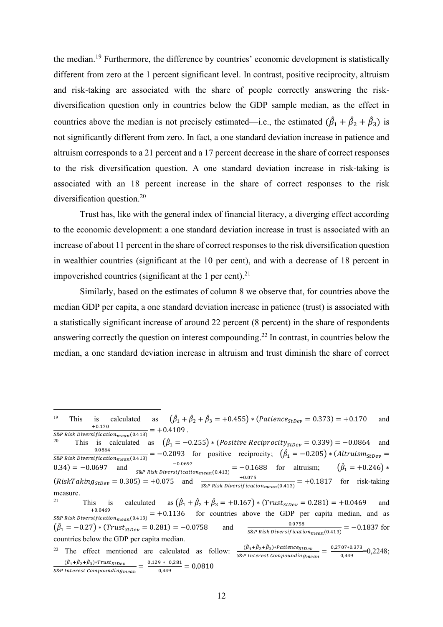the median.<sup>19</sup> Furthermore, the difference by countries' economic development is statistically different from zero at the 1 percent significant level. In contrast, positive reciprocity, altruism and risk-taking are associated with the share of people correctly answering the riskdiversification question only in countries below the GDP sample median, as the effect in countries above the median is not precisely estimated—i.e., the estimated  $(\hat{\beta}_1 + \hat{\beta}_2 + \hat{\beta}_3)$  is not significantly different from zero. In fact, a one standard deviation increase in patience and altruism corresponds to a 21 percent and a 17 percent decrease in the share of correct responses to the risk diversification question. A one standard deviation increase in risk-taking is associated with an 18 percent increase in the share of correct responses to the risk diversification question.<sup>20</sup>

Trust has, like with the general index of financial literacy, a diverging effect according to the economic development: a one standard deviation increase in trust is associated with an increase of about 11 percent in the share of correct responses to the risk diversification question in wealthier countries (significant at the 10 per cent), and with a decrease of 18 percent in impoverished countries (significant at the 1 per cent).<sup>21</sup>

Similarly, based on the estimates of column 8 we observe that, for countries above the median GDP per capita, a one standard deviation increase in patience (trust) is associated with a statistically significant increase of around 22 percent (8 percent) in the share of respondents answering correctly the question on interest compounding.<sup>22</sup> In contrast, in countries below the median, a one standard deviation increase in altruism and trust diminish the share of correct

This is calculated as  $(\hat{\beta}_1 = -0.255) * (Positive Reciprocity_{StDev} = 0.339) = -0.0864$  and is calculated as  $(\hat{\beta}_1 = -0.255) * (Positive Reciprocity_{stDev} = 0.339) = -0.0864$  and  $-0.0864$  and  $-0.0864$  and  $-0.0864$  $\frac{-0.0864}{S\&P}$  Risk Diversification<sub>mean</sub>(0.413)</sub> = -0.2093 for positive reciprocity;  $(\hat{\beta}_1 = -0.205) * (Altruism_{stDev})$ 0.34) = -0.0697 and  $\frac{-0.0697}{S\&P \text{ Risk Diversification}_{mean}(0.413)}$  = -0.1688 for altruism;  $(\hat{\beta}_1 = +0.246)$  \*  $(RiskTaking_{\text{stdev}} = 0.305) = +0.075$  and  $\frac{+0.075}{s\&P \text{ Risk Division}_{\text{mean}}(0.413)} = +0.1817$  for risk-taking measure. <sup>21</sup> This is calculated as  $(\hat{\beta}_1 + \hat{\beta}_2 + \hat{\beta})$ is is calculated as  $(\hat{\beta}_1 + \hat{\beta}_2 + \hat{\beta}_3 = +0.167) * (Trust_{stDev} = 0.281) = +0.0469$  and  $+0.0469$  $\frac{40.0469}{58P}$  Risk Diversification<sub>mean</sub>(0.413) = +0.1136 for countries above the GDP per capita median, and as  $(\hat{\beta}_1 = -0.27) * (Trust_{stDev} = 0.281) = -0.0758$  and  $\frac{-0.0758}{s_{s.}p_{s.}p_{tck} \text{ Diversification}}$  $\frac{-0.0758}{S\&P\ Risk\ Diversification_{mean}(0.413)} = -0.1837$  for countries below the GDP per capita median. 22 The effect mentioned are calculated as follow:  $\frac{(\hat{\beta}_1 + \hat{\beta}_2 + \hat{\beta}_3) * Patience_{stDev}}{s_{\&P\text{ Interest Compounding mean}}} = \frac{0.2707 * 0.373}{0.449} = 0.2248;$  $\frac{(\hat{\beta}_1 + \hat{\beta}_2 + \hat{\beta}_3) * Trust_{stDev}}{Interest compounding_{mean}} = \frac{0.129 * 0.281}{0.449} = 0.0810$  $s_{\&P}$  Interest Compounding mean

<sup>&</sup>lt;sup>19</sup> This is calculated  $\hat{\beta}_1 + \hat{\beta}_2 + \hat{\beta}_3 = +0.455$ ) \* (Patience<sub>stDev</sub> = 0.373) = +0.170 and  $+0.170$  $\frac{+0.170}{S\&P Risk \text{ Diversification}_{mean}(0.413)} = +0.4109.$   $\frac{20}{P}$   $\frac{20}{P}$   $\frac{20}{P}$   $\frac{20}{P} = -0.4109.$   $\frac{20}{P} = -0.4109.$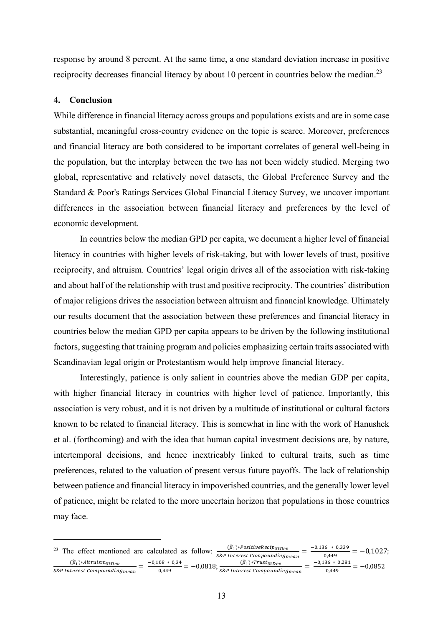response by around 8 percent. At the same time, a one standard deviation increase in positive reciprocity decreases financial literacy by about 10 percent in countries below the median.<sup>23</sup>

#### **4. Conclusion**

While difference in financial literacy across groups and populations exists and are in some case substantial, meaningful cross-country evidence on the topic is scarce. Moreover, preferences and financial literacy are both considered to be important correlates of general well-being in the population, but the interplay between the two has not been widely studied. Merging two global, representative and relatively novel datasets, the Global Preference Survey and the Standard & Poor's Ratings Services Global Financial Literacy Survey, we uncover important differences in the association between financial literacy and preferences by the level of economic development.

In countries below the median GPD per capita, we document a higher level of financial literacy in countries with higher levels of risk-taking, but with lower levels of trust, positive reciprocity, and altruism. Countries' legal origin drives all of the association with risk-taking and about half of the relationship with trust and positive reciprocity. The countries' distribution of major religions drives the association between altruism and financial knowledge. Ultimately our results document that the association between these preferences and financial literacy in countries below the median GPD per capita appears to be driven by the following institutional factors, suggesting that training program and policies emphasizing certain traits associated with Scandinavian legal origin or Protestantism would help improve financial literacy.

Interestingly, patience is only salient in countries above the median GDP per capita, with higher financial literacy in countries with higher level of patience. Importantly, this association is very robust, and it is not driven by a multitude of institutional or cultural factors known to be related to financial literacy. This is somewhat in line with the work of Hanushek et al. (forthcoming) and with the idea that human capital investment decisions are, by nature, intertemporal decisions, and hence inextricably linked to cultural traits, such as time preferences, related to the valuation of present versus future payoffs. The lack of relationship between patience and financial literacy in impoverished countries, and the generally lower level of patience, might be related to the more uncertain horizon that populations in those countries may face.

<sup>&</sup>lt;sup>23</sup> The effect mentioned are calculated as follow:  $\frac{(\hat{\beta}_1)*PositiveReview}{s\&P\text{ interest Compounding} \text{mean}} = \frac{-0.136 \times 0.339}{0.449} = -0.1027;$  $(\widehat{\beta}_1) * Altruism_{StDev}$  $\frac{(\widehat{\beta}_1) * \textit{Altruism}_{StDev}}{\textit{SRP Interest compounding}_{mean}} = \frac{-0.108 * 0.34}{0.449} = -0.0818; \frac{(\widehat{\beta}_1) * \textit{Trust}_{StDev}}{\textit{SRP Interest compound}}$  $\frac{(\beta_1)*Trust_{StDev}}{S\&P\;Interest\; Compounding_{mean}} = \frac{-0.136 * 0.281}{0.449} = -0.0852$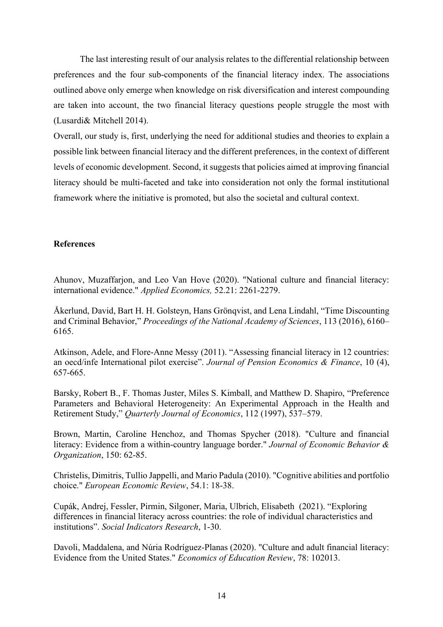The last interesting result of our analysis relates to the differential relationship between preferences and the four sub-components of the financial literacy index. The associations outlined above only emerge when knowledge on risk diversification and interest compounding are taken into account, the two financial literacy questions people struggle the most with (Lusardi& Mitchell 2014).

Overall, our study is, first, underlying the need for additional studies and theories to explain a possible link between financial literacy and the different preferences, in the context of different levels of economic development. Second, it suggests that policies aimed at improving financial literacy should be multi-faceted and take into consideration not only the formal institutional framework where the initiative is promoted, but also the societal and cultural context.

#### **References**

Ahunov, Muzaffarjon, and Leo Van Hove (2020). "National culture and financial literacy: international evidence." *Applied Economics,* 52.21: 2261-2279.

Åkerlund, David, Bart H. H. Golsteyn, Hans Grönqvist, and Lena Lindahl, "Time Discounting and Criminal Behavior," *Proceedings of the National Academy of Sciences*, 113 (2016), 6160– 6165.

Atkinson, Adele, and Flore-Anne Messy (2011). "Assessing financial literacy in 12 countries: an oecd/infe International pilot exercise". *Journal of Pension Economics & Finance*, 10 (4), 657-665.

Barsky, Robert B., F. Thomas Juster, Miles S. Kimball, and Matthew D. Shapiro, "Preference Parameters and Behavioral Heterogeneity: An Experimental Approach in the Health and Retirement Study," *Quarterly Journal of Economics*, 112 (1997), 537–579.

Brown, Martin, Caroline Henchoz, and Thomas Spycher (2018). "Culture and financial literacy: Evidence from a within-country language border." *Journal of Economic Behavior & Organization*, 150: 62-85.

Christelis, Dimitris, Tullio Jappelli, and Mario Padula (2010). "Cognitive abilities and portfolio choice." *European Economic Review*, 54.1: 18-38.

Cupák, Andrej, Fessler, Pirmin, Silgoner, Maria, Ulbrich, Elisabeth (2021). "Exploring differences in financial literacy across countries: the role of individual characteristics and institutions". *Social Indicators Research*, 1-30.

Davoli, Maddalena, and Núria Rodríguez-Planas (2020). "Culture and adult financial literacy: Evidence from the United States." *Economics of Education Review*, 78: 102013.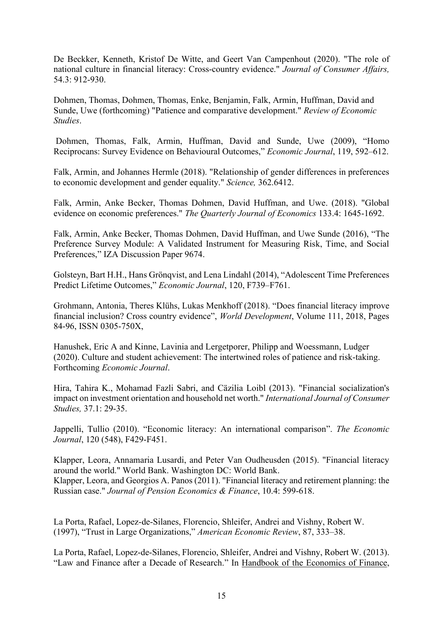De Beckker, Kenneth, Kristof De Witte, and Geert Van Campenhout (2020). "The role of national culture in financial literacy: Cross-country evidence." *Journal of Consumer Affairs*, 54.3: 912-930.

Dohmen, Thomas, Dohmen, Thomas, Enke, Benjamin, Falk, Armin, Huffman, David and Sunde, Uwe (forthcoming) "Patience and comparative development." *Review of Economic Studies*.

Dohmen, Thomas, Falk, Armin, Huffman, David and Sunde, Uwe (2009), "Homo Reciprocans: Survey Evidence on Behavioural Outcomes," *Economic Journal*, 119, 592–612.

Falk, Armin, and Johannes Hermle (2018). "Relationship of gender differences in preferences to economic development and gender equality." *Science,* 362.6412.

Falk, Armin, Anke Becker, Thomas Dohmen, David Huffman, and Uwe. (2018). "Global evidence on economic preferences." *The Quarterly Journal of Economics* 133.4: 1645-1692.

Falk, Armin, Anke Becker, Thomas Dohmen, David Huffman, and Uwe Sunde (2016), "The Preference Survey Module: A Validated Instrument for Measuring Risk, Time, and Social Preferences," IZA Discussion Paper 9674.

Golsteyn, Bart H.H., Hans Grönqvist, and Lena Lindahl (2014), "Adolescent Time Preferences Predict Lifetime Outcomes," *Economic Journal*, 120, F739–F761.

Grohmann, Antonia, Theres Klühs, Lukas Menkhoff (2018). "Does financial literacy improve financial inclusion? Cross country evidence", *World Development*, Volume 111, 2018, Pages 84-96, ISSN 0305-750X,

Hanushek, Eric A and Kinne, Lavinia and Lergetporer, Philipp and Woessmann, Ludger (2020). Culture and student achievement: The intertwined roles of patience and risk-taking. Forthcoming *Economic Journal*.

Hira, Tahira K., Mohamad Fazli Sabri, and Cäzilia Loibl (2013). "Financial socialization's impact on investment orientation and household net worth." *International Journal of Consumer Studies,* 37.1: 29-35.

Jappelli, Tullio (2010). "Economic literacy: An international comparison". *The Economic Journal*, 120 (548), F429-F451.

Klapper, Leora, Annamaria Lusardi, and Peter Van Oudheusden (2015). "Financial literacy around the world." World Bank. Washington DC: World Bank. Klapper, Leora, and Georgios A. Panos (2011). "Financial literacy and retirement planning: the Russian case." *Journal of Pension Economics & Finance*, 10.4: 599-618.

La Porta, Rafael, Lopez-de-Silanes, Florencio, Shleifer, Andrei and Vishny, Robert W. (1997), "Trust in Large Organizations," *American Economic Review*, 87, 333–38.

La Porta, Rafael, Lopez-de-Silanes, Florencio, Shleifer, Andrei and Vishny, Robert W. (2013). "Law and Finance after a Decade of Research." In Handbook of the Economics of Finance,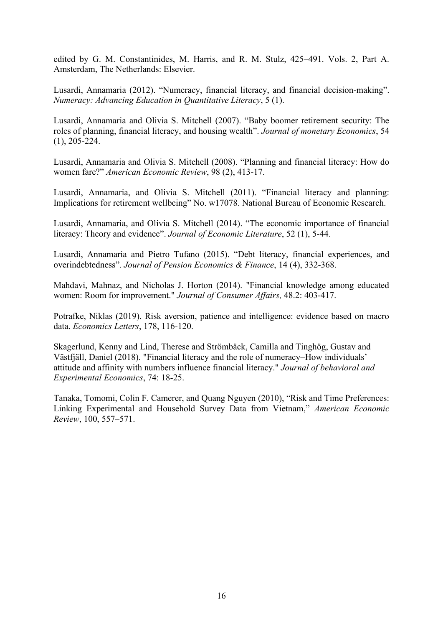edited by G. M. Constantinides, M. Harris, and R. M. Stulz, 425–491. Vols. 2, Part A. Amsterdam, The Netherlands: Elsevier.

Lusardi, Annamaria (2012). "Numeracy, financial literacy, and financial decision-making". *Numeracy: Advancing Education in Quantitative Literacy*, 5 (1).

Lusardi, Annamaria and Olivia S. Mitchell (2007). "Baby boomer retirement security: The roles of planning, financial literacy, and housing wealth". *Journal of monetary Economics*, 54 (1), 205-224.

Lusardi, Annamaria and Olivia S. Mitchell (2008). "Planning and financial literacy: How do women fare?" *American Economic Review*, 98 (2), 413-17.

Lusardi, Annamaria, and Olivia S. Mitchell (2011). "Financial literacy and planning: Implications for retirement wellbeing" No. w17078. National Bureau of Economic Research.

Lusardi, Annamaria, and Olivia S. Mitchell (2014). "The economic importance of financial literacy: Theory and evidence". *Journal of Economic Literature*, 52 (1), 5-44.

Lusardi, Annamaria and Pietro Tufano (2015). "Debt literacy, financial experiences, and overindebtedness". *Journal of Pension Economics & Finance*, 14 (4), 332-368.

Mahdavi, Mahnaz, and Nicholas J. Horton (2014). "Financial knowledge among educated women: Room for improvement." *Journal of Consumer Affairs,* 48.2: 403-417.

Potrafke, Niklas (2019). Risk aversion, patience and intelligence: evidence based on macro data. *Economics Letters*, 178, 116-120.

Skagerlund, Kenny and Lind, Therese and Strömbäck, Camilla and Tinghög, Gustav and Västfjäll, Daniel (2018). "Financial literacy and the role of numeracy–How individuals' attitude and affinity with numbers influence financial literacy." *Journal of behavioral and Experimental Economics*, 74: 18-25.

Tanaka, Tomomi, Colin F. Camerer, and Quang Nguyen (2010), "Risk and Time Preferences: Linking Experimental and Household Survey Data from Vietnam," *American Economic Review*, 100, 557–571.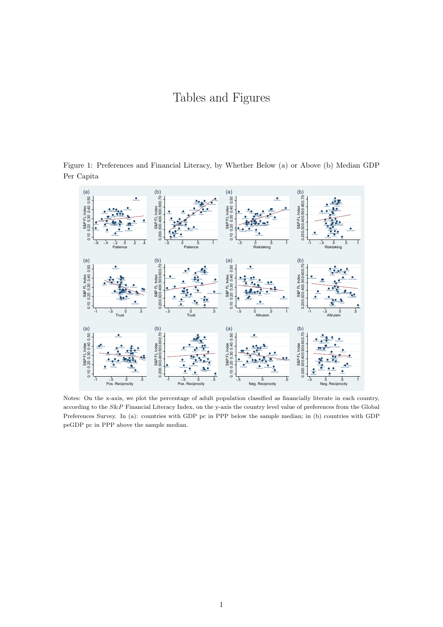### Tables and Figures



Figure 1: Preferences and Financial Literacy, by Whether Below (a) or Above (b) Median GDP Per Capita

Notes: On the x-axis, we plot the percentage of adult population classified as financially literate in each country, according to the *S&P* Financial Literacy Index, on the y-axis the country level value of preferences from the Global Preferences Survey. In (a): countries with GDP pc in PPP below the sample median; in (b) countries with GDP peGDP pc in PPP above the sample median.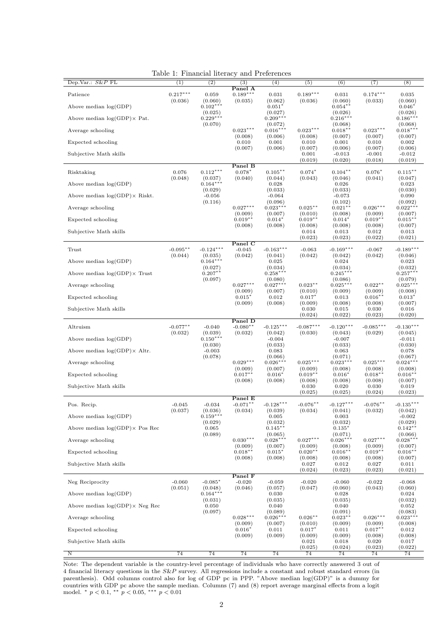<span id="page-20-0"></span>

| Dep.Var.: $S\&P$ FL                    | (1)                 | $10010$ $11$ $1100100$<br>(2) | (3)                   | $\frac{1}{2}$<br>(4)   | (5)                   | (6)                   | (7)                   | (8)                   |
|----------------------------------------|---------------------|-------------------------------|-----------------------|------------------------|-----------------------|-----------------------|-----------------------|-----------------------|
|                                        |                     |                               | Panel A               |                        |                       |                       |                       |                       |
| Patience                               | $0.217***$          | 0.059                         | $0.189***$            | 0.031                  | $0.189***$            | 0.031                 | $0.174***$            | 0.035                 |
| Above median $log(GDP)$                | (0.036)             | (0.060)<br>$0.102***$         | (0.035)               | (0.062)<br>$0.051*$    | (0.036)               | (0.060)<br>$0.054$ *  | (0.033)               | (0.060)<br>$0.046*$   |
|                                        |                     | (0.025)                       |                       | (0.027)                |                       | (0.026)               |                       | (0.026)               |
| Above median $log(GDP) \times Pat$ .   |                     | $0.229***$                    |                       | $0.209***$             |                       | $0.216***$            |                       | $0.186***$            |
| Average schooling                      |                     | (0.070)                       | $0.023***$            | (0.072)<br>$0.016***$  | $0.023***$            | (0.068)<br>$0.018**$  | $0.023***$            | (0.068)<br>$0.018***$ |
|                                        |                     |                               | (0.008)               | (0.006)                | (0.008)               | (0.007)               | (0.007)               | (0.007)               |
| Expected schooling                     |                     |                               | 0.010                 | 0.001                  | 0.010                 | 0.001                 | 0.010                 | 0.002                 |
| Subjective Math skills                 |                     |                               | (0.007)               | (0.006)                | (0.007)<br>0.001      | (0.006)<br>$-0.013$   | (0.007)<br>$-0.001$   | (0.006)<br>$-0.012$   |
|                                        |                     |                               |                       |                        | (0.019)               | (0.020)               | (0.018)               | (0.019)               |
|                                        |                     | $0.112***$                    | Panel B               |                        |                       | $0.104**$             | $0.076*$              |                       |
| Risktaking                             | 0.076<br>(0.048)    | (0.037)                       | $0.078*$<br>(0.040)   | $0.105**$<br>(0.044)   | $0.074*$<br>(0.043)   | (0.046)               | (0.041)               | $0.115***$<br>(0.047) |
| Above median $log(GDP)$                |                     | $0.164***$                    |                       | 0.028                  |                       | 0.026                 |                       | 0.023                 |
| Above median $log(GDP) \times Riskt$ . |                     | (0.029)<br>$-0.056$           |                       | (0.033)<br>$-0.064$    |                       | (0.033)<br>$-0.073$   |                       | (0.030)<br>0.090      |
|                                        |                     | (0.116)                       |                       | (0.096)                |                       | (0.102)               |                       | (0.092)               |
| Average schooling                      |                     |                               | $0.027***$            | $0.023***$             | $0.025***$            | $0.021**$             | $0.026***$            | $0.022***$            |
| Expected schooling                     |                     |                               | (0.009)<br>$0.019**$  | (0.007)<br>$0.014*$    | (0.010)<br>$0.019***$ | (0.008)<br>$0.014*$   | (0.009)<br>$0.019***$ | (0.007)<br>$0.015***$ |
|                                        |                     |                               | (0.008)               | (0.008)                | (0.008)               | (0.008)               | (0.008)               | (0.007)               |
| Subjective Math skills                 |                     |                               |                       |                        | 0.014                 | 0.013                 | 0.012                 | 0.013                 |
|                                        |                     |                               | Panel C               |                        | (0.023)               | (0.023)               | (0.022)               | (0.021)               |
| Trust                                  | $-0.095**$          | $-0.124***$                   | $-0.045$              | $-0.163***$            | $-0.063$              | $-0.169***$           | $-0.067$              | $-0.189***$           |
|                                        | (0.044)             | (0.035)                       | (0.042)               | (0.041)                | (0.042)               | (0.042)               | (0.042)               | (0.046)               |
| Above median $log(GDP)$                |                     | $0.164***$<br>(0.027)         |                       | 0.025<br>(0.034)       |                       | 0.024<br>(0.034)      |                       | 0.023<br>(0.032)      |
| Above median $log(GDP) \times$ Trust   |                     | $0.207**$                     |                       | $0.258***$             |                       | $0.245***$            |                       | $0.257***$            |
|                                        |                     | (0.097)                       |                       | (0.080)                |                       | (0.086)               |                       | (0.079)               |
| Average schooling                      |                     |                               | $0.027***$<br>(0.009) | $0.027***$<br>(0.007)  | $0.023**$<br>(0.010)  | $0.025***$<br>(0.009) | $0.022**$<br>(0.009)  | $0.025***$<br>(0.008) |
| Expected schooling                     |                     |                               | $0.015*$              | 0.012                  | $0.017*$              | 0.013                 | $0.016***$            | $0.013*$              |
|                                        |                     |                               | (0.009)               | (0.008)                | (0.009)               | (0.008)               | (0.008)               | (0.007)               |
| Subjective Math skills                 |                     |                               |                       |                        | 0.030<br>(0.024)      | 0.015<br>(0.022)      | 0.030<br>(0.023)      | 0.016<br>(0.020)      |
|                                        |                     |                               | Panel D               |                        |                       |                       |                       |                       |
| Altruism                               | $-0.077**$          | $-0.040$                      | $-0.080**$            | $-0.125***$            | $-0.087***$           | $-0.120***$           | $-0.085***$           | $-0.130***$           |
| Above median $log(GDP)$                | (0.032)             | (0.039)<br>$0.150***$         | (0.032)               | (0.042)<br>$-0.004$    | (0.030)               | (0.043)<br>$-0.007$   | (0.029)               | (0.045)<br>$-0.011$   |
|                                        |                     | (0.030)                       |                       | (0.033)                |                       | (0.033)               |                       | (0.030)               |
| Above median $log(GDP) \times Altr$ .  |                     | $-0.003$                      |                       | 0.083                  |                       | 0.063                 |                       | 0.078                 |
| Average schooling                      |                     | (0.078)                       | $0.029***$            | (0.066)<br>$0.026***$  | $0.025***$            | (0.071)<br>$0.023***$ | $0.025***$            | (0.067)<br>$0.024***$ |
|                                        |                     |                               | (0.009)               | (0.007)                | (0.009)               | (0.008)               | (0.008)               | (0.008)               |
| Expected schooling                     |                     |                               | $0.017***$            | $0.016*$               | $0.019***$            | $0.016*$              | $0.018***$            | $0.016**$             |
| Subjective Math skills                 |                     |                               | (0.008)               | (0.008)                | (0.008)<br>0.030      | (0.008)<br>0.020      | (0.008)<br>0.030      | (0.007)<br>0.019      |
|                                        |                     |                               |                       |                        | (0.025)               | (0.025)               | (0.024)               | (0.023)               |
|                                        |                     |                               | Panel E               |                        |                       | $-0.127***$           |                       | $-0.135***$           |
| Pos. Recip.                            | $-0.045$<br>(0.037) | $-0.034$<br>(0.036)           | $-0.071**$<br>(0.034) | $-0.128***$<br>(0.039) | $-0.076**$<br>(0.034) | (0.041)               | $-0.076**$<br>(0.032) | (0.042)               |
| Above median $log(GDP)$                |                     | $0.159***$                    |                       | 0.005                  |                       | 0.003                 |                       | $-0.002$              |
| Above median $log(GDP) \times Pos$ Rec |                     | (0.029)<br>0.065              |                       | (0.032)<br>$0.145***$  |                       | (0.032)<br>$0.135*$   |                       | (0.029)<br>$0.142**$  |
|                                        |                     | (0.089)                       |                       | (0.065)                |                       | (0.071)               |                       | (0.066)               |
| Average schooling                      |                     |                               | $0.030***$            | $0.028***$             | $0.027***$            | $0.026***$            | $0.027***$            | $0.028***$            |
| Expected schooling                     |                     |                               | (0.009)<br>$0.018***$ | (0.007)<br>$0.015*$    | (0.009)<br>$0.020**$  | (0.008)<br>$0.016***$ | (0.009)<br>$0.019**$  | (0.007)<br>$0.016***$ |
|                                        |                     |                               | (0.008)               | (0.008)                | (0.008)               | (0.008)               | (0.008)               | (0.007)               |
| Subjective Math skills                 |                     |                               |                       |                        | 0.027                 | 0.012                 | 0.027                 | 0.011                 |
|                                        |                     |                               | Panel F               |                        | (0.024)               | (0.023)               | (0.023)               | (0.021)               |
| Neg Reciprocity                        | $-0.060$            | $-0.085*$                     | $-0.020$              | $-0.059$               | $-0.020$              | $-0.060$              | $-0.022$              | $-0.068$              |
|                                        | (0.051)             | (0.048)                       | (0.046)               | (0.057)                | (0.047)               | (0.060)               | (0.043)               | (0.060)               |
| Above median $log(GDP)$                |                     | $0.164***$<br>(0.031)         |                       | 0.030<br>(0.035)       |                       | 0.028<br>(0.035)      |                       | 0.024<br>(0.032)      |
| Above median $log(GDP) \times Neg$ Rec |                     | 0.050                         |                       | 0.040                  |                       | 0.040                 |                       | 0.052                 |
|                                        |                     | (0.097)                       |                       | (0.089)                |                       | (0.091)               |                       | (0.083)               |
| Average schooling                      |                     |                               | $0.028***$<br>(0.009) | $0.026***$<br>(0.007)  | $0.026**$<br>(0.010)  | $0.023**$<br>(0.009)  | $0.026***$<br>(0.009) | $0.023***$<br>(0.008) |
| Expected schooling                     |                     |                               | $0.016*$              | 0.011                  | $0.017*$              | 0.011                 | $0.017***$            | 0.012                 |
|                                        |                     |                               | (0.009)               | (0.009)                | (0.009)               | (0.009)               | (0.008)               | (0.008)               |
| Subjective Math skills                 |                     |                               |                       |                        | 0.021<br>(0.025)      | 0.018<br>(0.024)      | 0.020<br>(0.023)      | 0.017<br>(0.022)      |
| $\overline{\rm N}$                     | 74                  | 74                            | 74                    | 74                     | 74                    | 74                    | 74                    | 74                    |

Table 1: Financial literacy and Preferences

Note: The dependent variable is the country-level percentage of individuals who have correctly answered 3 out of 4 financial literacy questions in the *S*&*P* survey. All regressions include a constant and robust standard errors (in parenthesis). Odd columns control also for log of GDP pc in PPP. "Above median log(GDP)" is a dummy for countries with GDP pc above the sample median. Columns (7) and (8) report average marginal effects from a logit model. ⇤ *p <* 0*.*1, ⇤⇤ *p <* 0*.*05, ⇤⇤⇤ *p <* 0*.*01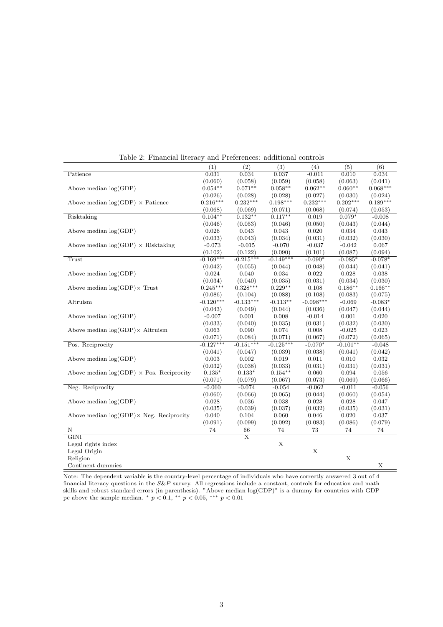|                                                  | $\overline{(1)}$ | $\overline{(2)}$        | $\overline{(3)}$ | (4)         | (5)        | $\overline{(6)}$ |
|--------------------------------------------------|------------------|-------------------------|------------------|-------------|------------|------------------|
| Patience                                         | 0.031            | 0.034                   | 0.037            | $-0.011$    | 0.010      | 0.034            |
|                                                  | (0.060)          | (0.058)                 | (0.059)          | (0.058)     | (0.063)    | (0.041)          |
| Above median $log(GDP)$                          | $0.054**$        | $0.071**$               | $0.058**$        | $0.062**$   | $0.060**$  | $0.068***$       |
|                                                  | (0.026)          | (0.028)                 | (0.028)          | (0.027)     | (0.030)    | (0.024)          |
| Above median $log(GDP) \times$ Patience          | $0.216***$       | $0.232***$              | $0.198***$       | $0.232***$  | $0.202***$ | $0.189***$       |
|                                                  | (0.068)          | (0.069)                 | (0.071)          | (0.068)     | (0.074)    | (0.053)          |
| Risktaking                                       | $0.104**$        | $0.132**$               | $0.117**$        | 0.019       | $0.079*$   | $-0.008$         |
|                                                  | (0.046)          | (0.053)                 | (0.046)          | (0.050)     | (0.043)    | (0.044)          |
| Above median $log(GDP)$                          | 0.026            | 0.043                   | 0.043            | 0.020       | 0.034      | 0.043            |
|                                                  | (0.033)          | (0.043)                 | (0.034)          | (0.031)     | (0.032)    | (0.030)          |
| Above median $log(GDP) \times Risktaking$        | $-0.073$         | $-0.015$                | $-0.070$         | $-0.037$    | $-0.042$   | 0.067            |
|                                                  | (0.102)          | (0.122)                 | (0.090)          | (0.101)     | (0.087)    | (0.094)          |
| <b>Trust</b>                                     | $-0.169***$      | $-0.215***$             | $-0.149***$      | $-0.090*$   | $-0.085*$  | $-0.078*$        |
|                                                  | (0.042)          | (0.055)                 | (0.044)          | (0.048)     | (0.044)    | (0.041)          |
| Above median $log(GDP)$                          | 0.024            | 0.040                   | 0.034            | 0.022       | 0.028      | 0.038            |
|                                                  | (0.034)          | (0.040)                 | (0.035)          | (0.031)     | (0.034)    | (0.030)          |
| Above median $log(GDP) \times$ Trust             | $0.245***$       | $0.328***$              | $0.229**$        | 0.108       | $0.186**$  | $0.166**$        |
|                                                  | (0.086)          | (0.104)                 | (0.088)          | (0.108)     | (0.083)    | (0.075)          |
| Altruism                                         | $-0.120***$      | $-0.133***$             | $-0.113**$       | $-0.098***$ | $-0.069$   | $-0.083*$        |
|                                                  | (0.043)          | (0.049)                 | (0.044)          | (0.036)     | (0.047)    | (0.044)          |
| Above median $log(GDP)$                          | $-0.007$         | 0.001                   | 0.008            | $-0.014$    | 0.001      | 0.020            |
|                                                  | (0.033)          | (0.040)                 | (0.035)          | (0.031)     | (0.032)    | (0.030)          |
| Above median $log(GDP) \times$ Altruism          | 0.063            | 0.090                   | 0.074            | 0.008       | $-0.025$   | 0.023            |
|                                                  | (0.071)          | (0.084)                 | (0.071)          | (0.067)     | (0.072)    | (0.065)          |
| Pos. Reciprocity                                 | $-0.127***$      | $-0.151***$             | $-0.125***$      | $-0.070*$   | $-0.101**$ |                  |
|                                                  |                  |                         |                  |             | (0.041)    | $-0.048$         |
|                                                  | (0.041)<br>0.003 | (0.047)                 | (0.039)          | (0.038)     |            | (0.042)          |
| Above median $log(GDP)$                          |                  | 0.002                   | 0.019            | 0.011       | 0.010      | 0.032            |
|                                                  | (0.032)          | (0.038)                 | (0.033)          | (0.031)     | (0.031)    | (0.031)          |
| Above median $log(GDP) \times Pos$ . Reciprocity | $0.135*$         | $0.133*$                | $0.154**$        | 0.060       | 0.094      | 0.056            |
|                                                  | (0.071)          | (0.079)                 | (0.067)          | (0.073)     | (0.069)    | (0.066)          |
| Neg. Reciprocity                                 | $-0.060$         | $-0.074$                | $-0.054$         | $-0.062$    | $-0.011$   | $-0.056$         |
|                                                  | (0.060)          | (0.066)                 | (0.065)          | (0.044)     | (0.060)    | (0.054)          |
| Above median $log(GDP)$                          | 0.028            | 0.036                   | 0.038            | 0.028       | 0.028      | 0.047            |
|                                                  | (0.035)          | (0.039)                 | (0.037)          | (0.032)     | (0.035)    | (0.031)          |
| Above median $log(GDP) \times Neg$ . Reciprocity | 0.040            | 0.104                   | 0.060            | 0.046       | 0.020      | 0.037            |
|                                                  | (0.091)          | (0.099)                 | (0.092)          | (0.083)     | (0.086)    | (0.079)          |
| Ν                                                | 74               | 66                      | 74               | 73          | 74         | 74               |
| $\overline{\text{GINI}}$                         |                  | $\overline{\mathrm{X}}$ |                  |             |            |                  |
| Legal rights index                               |                  |                         | $\mathbf X$      |             |            |                  |
| Legal Origin                                     |                  |                         |                  | X           |            |                  |
| Religion                                         |                  |                         |                  |             | X          |                  |
| Continent dummies                                |                  |                         |                  |             |            | X                |

Table 2: Financial literacy and Preferences: additional controls

Note: The dependent variable is the country-level percentage of individuals who have correctly answered 3 out of 4 financial literacy questions in the *S*&*P* survey. All regressions include a constant, controls for education and math skills and robust standard errors (in parenthesis). "Above median log(GDP)" is a dummy for countries with GDP pc above the sample median.  $p < 0.1$ ,  $p < 0.05$ ,  $p > 0.01$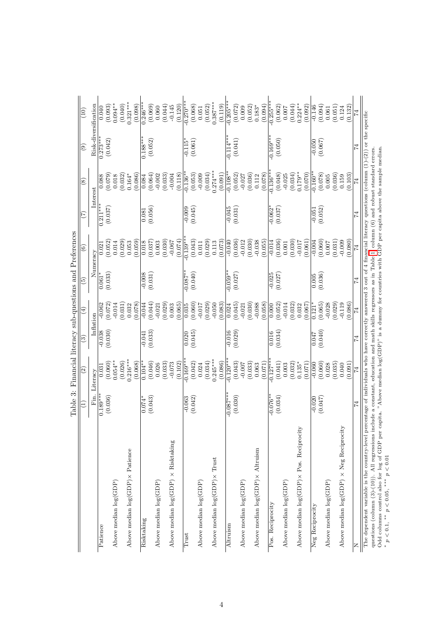|                                                        |                     | Table 3: Financial literacy sub-questions and Preferences |                        |                        |                     |                      |                       |                       |                                                |                       |
|--------------------------------------------------------|---------------------|-----------------------------------------------------------|------------------------|------------------------|---------------------|----------------------|-----------------------|-----------------------|------------------------------------------------|-----------------------|
|                                                        | Ξ                   | $\widehat{\mathfrak{D}}$                                  | $\widehat{\mathbf{e}}$ | $\widehat{\mathbb{E}}$ | ව                   | $\widehat{\circ}$    | $(\mathcal{I})$       | $\circled{s}$         | $\left( \begin{matrix} 9 \end{matrix} \right)$ | (10)                  |
|                                                        | Fin.                | Literacy                                                  | Inflation              |                        |                     | Numeracy             |                       | Interest              |                                                | Risk-diversification  |
| Patience                                               | $0.189***$          | 0.031                                                     | $-0.038$               | $-0.062$               | $0.061*$            | 0.021                | $\overline{0.211***}$ | 0.088                 | $0.273***$                                     | 0.040                 |
|                                                        | (0.036)             | (0.060)                                                   | (0.030)                | (0.072)                | (0.033)             | (0.052)              | (0.037)               | (0.079)               | (0.042)                                        | (0.093)               |
| Above median $log(GDP)$                                |                     | $0.054***$<br>(0.026)                                     |                        | (0.031)<br>$-0.014$    |                     | (0.029)<br>0.014     |                       | (0.032)<br>0.018      |                                                | $0.094***$<br>(0.040) |
| Above median $\log(\text{GDP}) \times \text{Patience}$ |                     | $0.216***$                                                |                        | 0.032                  |                     | 0.053                |                       | $0.164*$              |                                                | $0.321***$            |
|                                                        |                     | (0.068)                                                   |                        | (0.078)                |                     | (0.059)              |                       | (0.086)               |                                                | (0.098)               |
| Risktaking                                             | (0.043)<br>$0.074*$ | $0.104**$<br>(0.046)                                      | (0.033)<br>$-0.041$    | (0.044)<br>$-0.044$    | (0.031)<br>$-0.008$ | (0.037)<br>0.018     | (0.056)<br>0.081      | (0.064)<br>0.084      | $0.188***$<br>(0.052)                          | $0.246***$<br>(0.069) |
| Above median $log(GDP)$                                |                     | 0.026                                                     |                        | $-0.021$               |                     | 0.003                |                       | $-0.002$              |                                                | 0.060                 |
|                                                        |                     | (0.033)                                                   |                        | (0.029)                |                     | (0.030)              |                       | (0.033)               |                                                | (0.044)               |
| Above median $log(GDP) \times Risktaking$              |                     | $-0.073$<br>(0.102)                                       |                        | (0.065)<br>0.003       |                     | (0.074)<br>$-0.067$  |                       | (0.118)<br>$-0.004$   |                                                | (0.120)<br>$-0.145$   |
| $_{\rm{frust}}$                                        | $-0.063$            | $0.169**$                                                 | 0.020                  | 0.035                  | $-0.087**$          | $0.139**$            | $-0.009$              | $0.136*$              | $-0.115$                                       | $-0.270**$            |
|                                                        | (0.042)             | (0.042)                                                   | (0.045)                | (0.060)                | (0.040)             | (0.043)              | (0.045)               | (0.053)               | (0.061)                                        | (0.068)               |
| Above median $log(GDP)$                                |                     | 0.024                                                     |                        | $-0.017$               |                     | 0.011                |                       | $-0.009$              |                                                | 0.051                 |
| Above median $log(GDP) \times Trust$                   |                     | $0.245***$<br>(0.034)                                     |                        | (0.029)<br>$-0.050$    |                     | (0.029)<br>0.113     |                       | $0.274***$<br>(0.034) |                                                | $0.387***$<br>(0.052) |
|                                                        |                     | (0.086)                                                   |                        | (0.083)                |                     | (0.073)              |                       | (0.091)               |                                                | (0.119)               |
| Altruism                                               | $-0.087**$          | $-0.120**$                                                | $-0.016$               | 0.024                  | $-0.059**$          | $-0.040$             | $-0.045$              | $0.108**$             | $-0.114***$                                    | $-0.205**$            |
|                                                        | (0.030)             | (0.043)                                                   | (0.029)                | (0.045)                | (0.027)             | (0.036)              | (0.031)               | (0.052)               | (0.041)                                        | (0.072)               |
| Above median $log(GDP)$                                |                     | $-0.007$                                                  |                        | $-0.021$               |                     | $-0.012$             |                       | $-0.027$              |                                                | 0.009                 |
| Above median $log(GDP) \times$ Altruism                |                     | (0.033)<br>0.063                                          |                        | (0.030)<br>$-0.088$    |                     | (0.030)<br>$-0.038$  |                       | (0.036)<br>0.112      |                                                | (0.052)<br>$0.183*$   |
|                                                        |                     | (0.071)                                                   |                        | (0.058)                |                     | (0.055)              |                       | (0.078)               |                                                | (0.094)               |
| Pos. Reciprocity                                       | $-0.076**$          | $-0.127**$                                                | 0.016                  | 0.000                  | $-0.025$            | $-0.014$             | $-0.062*$             | $-0.136**$            | $-0.169***$                                    | $-0.255**$            |
|                                                        | (0.034)             | (0.041)                                                   | (0.034)                | (0.052)                | (0.027)             | (0.036)              | (0.037)               | (0.048)               | (0.050)                                        | (0.062)               |
| Above median $log(GDP)$                                |                     | (0.032)<br>0.003                                          |                        | (0.032)<br>$-0.014$    |                     | (0.030)<br>$0.001\,$ |                       | (0.034)<br>$-0.025$   |                                                | (0.044)<br>0.007      |
| Above median $log(GDP) \times Pos$ . Reciprocity       |                     | $0.135*$                                                  |                        | 0.032                  |                     | $-0.017$             |                       | $0.179**$             |                                                | $0.224**$             |
|                                                        |                     | (0.071)                                                   |                        | (0.067)                |                     | (0.061)              |                       | (0.070)               |                                                | (0.092)               |
| Neg Reciprocity                                        | $-0.020$            | $-0.060$                                                  | 0.047                  | $\frac{121}{5}$        | 0.005               | $-0.004$             | $-0.051$              | $0.160**$             | $-0.050$                                       | $-0.146$              |
| Above median $log(GDP)$                                | (0.047)             | (0.060)<br>0.028                                          | (0.040)                | (0.065)<br>$-0.028$    | (0.036)             | (0.060)<br>0.007     | (0.052)               | (0.078)<br>0.005      | (0.067)                                        | (0.094)<br>0.061      |
|                                                        |                     | (0.035)                                                   |                        | (0.029)                |                     | (0.031)              |                       | (0.036)               |                                                | (0.051)               |
| Above median $log(GDP) \times Neg$ Reciprocity         |                     | 0.040                                                     |                        | $-0.119$               |                     | $-0.009$             |                       | 0.159                 |                                                | 0.124                 |
|                                                        |                     | (0.091)                                                   |                        | (0.086)                |                     | (0.080)              |                       | (0.103)               |                                                | (0.132)               |
| z                                                      | 74                  | 74                                                        | $\overline{7}$         | 74                     | 74                  | 74                   | 74                    | $\overline{7}$        | 74                                             | $\overline{14}$       |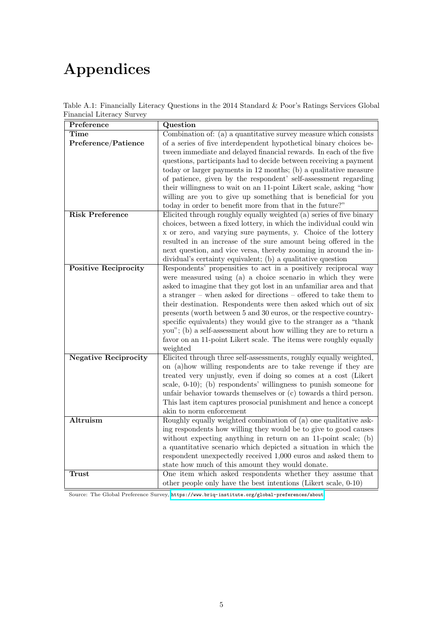# Appendices

| Preference                  | Question                                                            |
|-----------------------------|---------------------------------------------------------------------|
| <b>Time</b>                 | Combination of: (a) a quantitative survey measure which consists    |
| Preference/Patience         | of a series of five interdependent hypothetical binary choices be-  |
|                             | tween immediate and delayed financial rewards. In each of the five  |
|                             | questions, participants had to decide between receiving a payment   |
|                             | today or larger payments in 12 months; (b) a qualitative measure    |
|                             | of patience, given by the respondent' self-assessment regarding     |
|                             | their willingness to wait on an 11-point Likert scale, asking "how  |
|                             | willing are you to give up something that is beneficial for you     |
|                             | today in order to benefit more from that in the future?"            |
| <b>Risk Preference</b>      | Elicited through roughly equally weighted (a) series of five binary |
|                             | choices, between a fixed lottery, in which the individual could win |
|                             | x or zero, and varying sure payments, y. Choice of the lottery      |
|                             | resulted in an increase of the sure amount being offered in the     |
|                             | next question, and vice versa, thereby zooming in around the in-    |
|                             | dividual's certainty equivalent; (b) a qualitative question         |
| <b>Positive Reciprocity</b> | Respondents' propensities to act in a positively reciprocal way     |
|                             | were measured using (a) a choice scenario in which they were        |
|                             | asked to imagine that they got lost in an unfamiliar area and that  |
|                             | a stranger – when asked for directions – offered to take them to    |
|                             | their destination. Respondents were then asked which out of six     |
|                             | presents (worth between 5 and 30 euros, or the respective country-  |
|                             | specific equivalents) they would give to the stranger as a "thank   |
|                             | you"; (b) a self-assessment about how willing they are to return a  |
|                             | favor on an 11-point Likert scale. The items were roughly equally   |
|                             | weighted                                                            |
| <b>Negative Reciprocity</b> | Elicited through three self-assessments, roughly equally weighted,  |
|                             | on (a) how willing respondents are to take revenge if they are      |
|                             | treated very unjustly, even if doing so comes at a cost (Likert     |
|                             | scale, $0-10$ ; (b) respondents' willingness to punish someone for  |
|                             | unfair behavior towards themselves or (c) towards a third person.   |
|                             | This last item captures prosocial punishment and hence a concept    |
|                             | akin to norm enforcement                                            |
| Altruism                    | Roughly equally weighted combination of (a) one qualitative ask-    |
|                             | ing respondents how willing they would be to give to good causes    |
|                             | without expecting anything in return on an 11-point scale; (b)      |
|                             | a quantitative scenario which depicted a situation in which the     |
|                             | respondent unexpectedly received 1,000 euros and asked them to      |
|                             | state how much of this amount they would donate.                    |
| <b>Trust</b>                | One item which asked respondents whether they assume that           |
|                             | other people only have the best intentions (Likert scale, 0-10)     |

Table A.1: Financially Literacy Questions in the 2014 Standard & Poor's Ratings Services Global Financial Literacy Survey

Source: The Global Preference Survey, <https://www.briq-institute.org/global-preferences/about>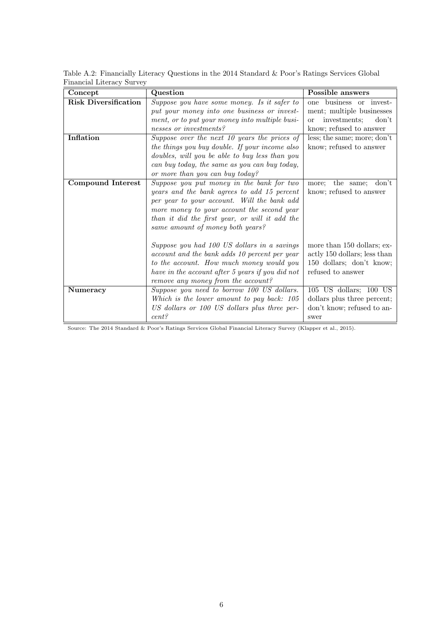| Concept                     | Question                                         | Possible answers                       |
|-----------------------------|--------------------------------------------------|----------------------------------------|
| <b>Risk Diversification</b> | Suppose you have some money. Is it safer to      | business or invest-<br>one             |
|                             | put your money into one business or invest-      | ment; multiple businesses              |
|                             | ment, or to put your money into multiple busi-   | investments;<br>don't<br><sub>or</sub> |
|                             | nesses or investments?                           | know; refused to answer                |
| <b>Inflation</b>            | Suppose over the next 10 years the prices of     | less; the same; more; don't            |
|                             | the things you buy double. If your income also   | know; refused to answer                |
|                             | doubles, will you be able to buy less than you   |                                        |
|                             | can buy today, the same as you can buy today,    |                                        |
|                             | or more than you can buy today?                  |                                        |
| <b>Compound Interest</b>    | Suppose you put money in the bank for two        | don't<br>the same;<br>more:            |
|                             | years and the bank agrees to add 15 percent      | know; refused to answer                |
|                             | per year to your account. Will the bank add      |                                        |
|                             | more money to your account the second year       |                                        |
|                             | than it did the first year, or will it add the   |                                        |
|                             | same amount of money both years?                 |                                        |
|                             |                                                  |                                        |
|                             | Suppose you had 100 US dollars in a savings      | more than 150 dollars; ex-             |
|                             | account and the bank adds 10 percent per year    | actly 150 dollars; less than           |
|                             | to the account. How much money would you         | 150 dollars; don't know;               |
|                             | have in the account after 5 years if you did not | refused to answer                      |
|                             | remove any money from the account?               |                                        |
| <b>Numeracy</b>             | Suppose you need to borrow 100 US dollars.       | 105 US dollars; 100 US                 |
|                             | Which is the lower amount to pay back: 105       | dollars plus three percent;            |
|                             | US dollars or 100 US dollars plus three per-     | don't know; refused to an-             |
|                             | cent?                                            | swer                                   |

Table A.2: Financially Literacy Questions in the 2014 Standard & Poor's Ratings Services Global Financial Literacy Survey

Source: The 2014 Standard & Poor's Ratings Services Global Financial Literacy Survey (Klapper et al., 2015).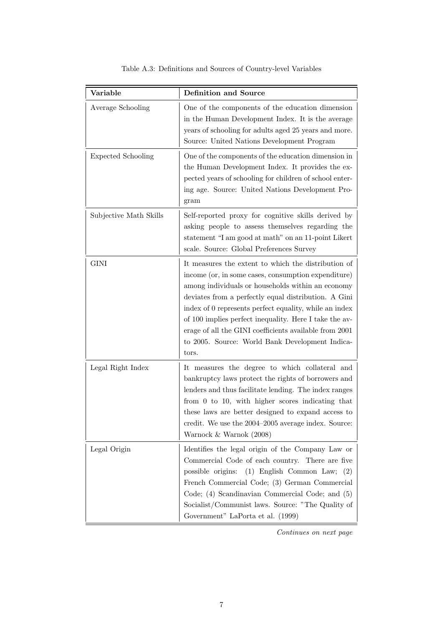| Variable                  | <b>Definition and Source</b>                                                                                                                                                                                                                                                                                                                                                                                                                                      |
|---------------------------|-------------------------------------------------------------------------------------------------------------------------------------------------------------------------------------------------------------------------------------------------------------------------------------------------------------------------------------------------------------------------------------------------------------------------------------------------------------------|
| Average Schooling         | One of the components of the education dimension<br>in the Human Development Index. It is the average<br>years of schooling for adults aged 25 years and more.<br>Source: United Nations Development Program                                                                                                                                                                                                                                                      |
| <b>Expected Schooling</b> | One of the components of the education dimension in<br>the Human Development Index. It provides the ex-<br>pected years of schooling for children of school enter-<br>ing age. Source: United Nations Development Pro-<br>gram                                                                                                                                                                                                                                    |
| Subjective Math Skills    | Self-reported proxy for cognitive skills derived by<br>asking people to assess themselves regarding the<br>statement "I am good at math" on an 11-point Likert<br>scale. Source: Global Preferences Survey                                                                                                                                                                                                                                                        |
| <b>GINI</b>               | It measures the extent to which the distribution of<br>income (or, in some cases, consumption expenditure)<br>among individuals or households within an economy<br>deviates from a perfectly equal distribution. A Gini<br>index of 0 represents perfect equality, while an index<br>of 100 implies perfect inequality. Here I take the av-<br>erage of all the GINI coefficients available from 2001<br>to 2005. Source: World Bank Development Indica-<br>tors. |
| Legal Right Index         | It measures the degree to which collateral and<br>bankruptcy laws protect the rights of borrowers and<br>lenders and thus facilitate lending. The index ranges<br>from $0$ to $10$ , with higher scores indicating that<br>these laws are better designed to expand access to<br>credit. We use the 2004–2005 average index. Source:<br>Warnock $&$ Warnok (2008)                                                                                                 |
| Legal Origin              | Identifies the legal origin of the Company Law or<br>Commercial Code of each country. There are five<br>possible origins: $(1)$ English Common Law; $(2)$<br>French Commercial Code; (3) German Commercial<br>Code; (4) Scandinavian Commercial Code; and (5)<br>Socialist/Communist laws. Source: "The Quality of<br>Government" LaPorta et al. (1999)                                                                                                           |

|  |  |  | Table A.3: Definitions and Sources of Country-level Variables |  |
|--|--|--|---------------------------------------------------------------|--|
|--|--|--|---------------------------------------------------------------|--|

*Continues on next page*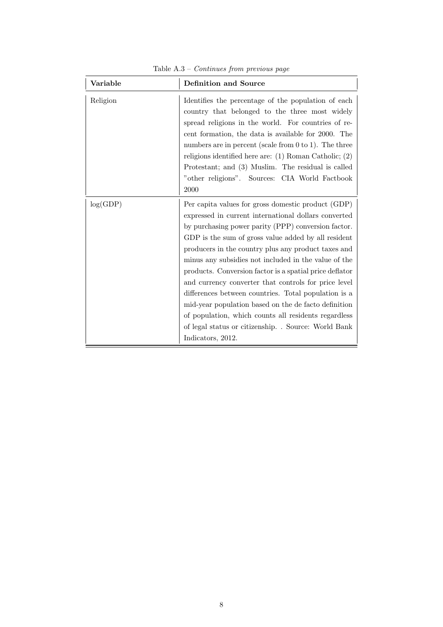| Variable | <b>Definition and Source</b>                                                                                                                                                                                                                                                                                                                                                                                                                                                                                                                                                                                                                                                                                    |
|----------|-----------------------------------------------------------------------------------------------------------------------------------------------------------------------------------------------------------------------------------------------------------------------------------------------------------------------------------------------------------------------------------------------------------------------------------------------------------------------------------------------------------------------------------------------------------------------------------------------------------------------------------------------------------------------------------------------------------------|
| Religion | Identifies the percentage of the population of each<br>country that belonged to the three most widely<br>spread religions in the world. For countries of re-<br>cent formation, the data is available for 2000. The<br>numbers are in percent (scale from $0$ to $1$ ). The three<br>religions identified here are: $(1)$ Roman Catholic; $(2)$<br>Protestant; and (3) Muslim. The residual is called<br>"other religions". Sources: CIA World Factbook<br>2000                                                                                                                                                                                                                                                 |
| log(GDP) | Per capita values for gross domestic product (GDP)<br>expressed in current international dollars converted<br>by purchasing power parity (PPP) conversion factor.<br>GDP is the sum of gross value added by all resident<br>producers in the country plus any product taxes and<br>minus any subsidies not included in the value of the<br>products. Conversion factor is a spatial price deflator<br>and currency converter that controls for price level<br>differences between countries. Total population is a<br>mid-year population based on the de facto definition<br>of population, which counts all residents regardless<br>of legal status or citizenship. . Source: World Bank<br>Indicators, 2012. |

Table A.3 – *Continues from previous page*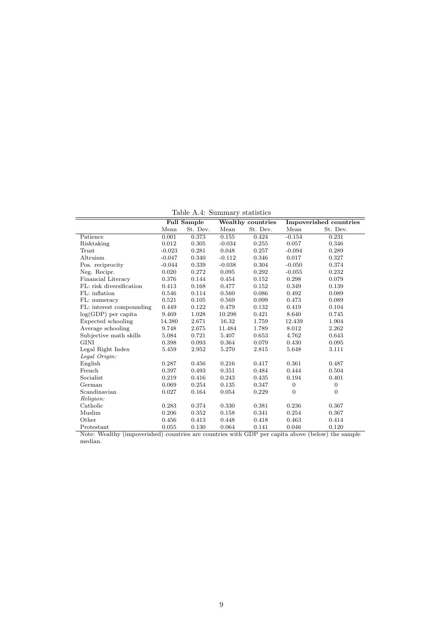Table A.4: Summary statistics

|                                                                                                                 |          | <b>Full Sample</b> |          | Wealthy countries | Impoverished countries |              |  |
|-----------------------------------------------------------------------------------------------------------------|----------|--------------------|----------|-------------------|------------------------|--------------|--|
|                                                                                                                 | Mean     | St. Dev.           | Mean     | St. Dev.          | Mean                   | St. Dev.     |  |
| Patience                                                                                                        | 0.001    | 0.373              | 0.155    | 0.424             | $-0.154$               | 0.231        |  |
| Risktaking                                                                                                      | 0.012    | 0.305              | $-0.034$ | 0.255             | 0.057                  | 0.346        |  |
| Trust                                                                                                           | $-0.023$ | 0.281              | 0.048    | 0.257             | $-0.094$               | 0.289        |  |
| Altruism                                                                                                        | $-0.047$ | 0.340              | $-0.112$ | 0.346             | 0.017                  | 0.327        |  |
| Pos. reciprocity                                                                                                | $-0.044$ | 0.339              | $-0.038$ | 0.304             | $-0.050$               | 0.374        |  |
| Neg. Recipr.                                                                                                    | 0.020    | 0.272              | 0.095    | 0.292             | $-0.055$               | 0.232        |  |
| Financial Literacy                                                                                              | 0.376    | 0.144              | 0.454    | 0.152             | 0.298                  | 0.079        |  |
| FL: risk diversification                                                                                        | 0.413    | 0.168              | 0.477    | 0.152             | 0.349                  | 0.139        |  |
| FL: inflation                                                                                                   | 0.546    | 0.114              | 0.560    | 0.086             | 0.492                  | 0.089        |  |
| FL: numeracy                                                                                                    | 0.521    | 0.105              | 0.569    | 0.099             | 0.473                  | 0.089        |  |
| FL: interest compounding                                                                                        | 0.449    | 0.122              | 0.479    | 0.132             | 0.419                  | 0.104        |  |
| $log(GDP)$ per capita                                                                                           | 9.469    | 1.028              | 10.298   | 0.421             | 8.640                  | 0.745        |  |
| Expected schooling                                                                                              | 14.380   | 2.671              | 16.32    | 1.759             | 12.439                 | 1.904        |  |
| Average schooling                                                                                               | 9.748    | 2.675              | 11.484   | 1.789             | 8.012                  | 2.262        |  |
| Subjective math skills                                                                                          | 5.084    | 0.721              | 5.407    | 0.653             | 4.762                  | 0.643        |  |
| <b>GINI</b>                                                                                                     | 0.398    | 0.093              | 0.364    | 0.079             | 0.430                  | 0.095        |  |
| Legal Right Index                                                                                               | 5.459    | 2.952              | 5.270    | 2.815             | 5.648                  | 3.111        |  |
| Legal Origin:                                                                                                   |          |                    |          |                   |                        |              |  |
| English                                                                                                         | 0.287    | 0.456              | 0.216    | 0.417             | 0.361                  | 0.487        |  |
| French                                                                                                          | 0.397    | 0.493              | 0.351    | 0.484             | 0.444                  | 0.504        |  |
| Socialist                                                                                                       | 0.219    | 0.416              | 0.243    | 0.435             | 0.194                  | 0.401        |  |
| German                                                                                                          | 0.069    | 0.254              | 0.135    | 0.347             | $\theta$               | $\mathbf{0}$ |  |
| Scandinavian                                                                                                    | 0.027    | 0.164              | 0.054    | 0.229             | $\overline{0}$         | $\theta$     |  |
| Religion:                                                                                                       |          |                    |          |                   |                        |              |  |
| Catholic                                                                                                        | 0.283    | 0.374              | 0.330    | 0.381             | 0.236                  | 0.367        |  |
| Muslim                                                                                                          | 0.206    | 0.352              | 0.158    | 0.341             | 0.254                  | 0.367        |  |
| Other                                                                                                           | 0.456    | 0.413              | 0.448    | 0.418             | 0.463                  | 0.414        |  |
| Protestant<br>Note: Weelthy (impercurished) countries are countries with CDP per cents above (below) the cample | 0.055    | 0.130              | 0.064    | 0.141             | 0.046                  | 0.120        |  |

Note: Wealthy (impoverished) countries are countries with GDP per capita above (below) the sample median.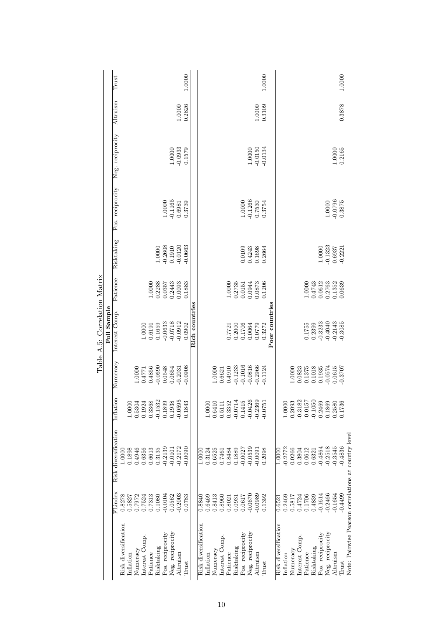ع<br>ح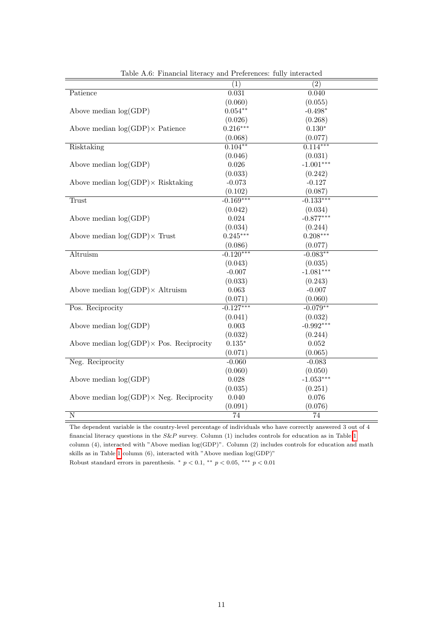|                                                  | (1)             | (2)         |
|--------------------------------------------------|-----------------|-------------|
| Patience                                         | 0.031           | 0.040       |
|                                                  | (0.060)         | (0.055)     |
| Above median $log(GDP)$                          | $0.054**$       | $-0.498*$   |
|                                                  | (0.026)         | (0.268)     |
| Above median $log(GDP) \times$ Patience          | $0.216***$      | $0.130*$    |
|                                                  | (0.068)         | (0.077)     |
| Risktaking                                       | $0.104***$      | $0.114***$  |
|                                                  | (0.046)         | (0.031)     |
| Above median $log(GDP)$                          | 0.026           | $-1.001***$ |
|                                                  | (0.033)         | (0.242)     |
| Above median $log(GDP) \times$ Risktaking        | $-0.073$        | $-0.127$    |
|                                                  | (0.102)         | (0.087)     |
| Trust                                            | $-0.169***$     | $-0.133***$ |
|                                                  | (0.042)         | (0.034)     |
| Above median $log(GDP)$                          | 0.024           | $-0.877***$ |
|                                                  | (0.034)         | (0.244)     |
| Above median $log(GDP) \times$ Trust             | $0.245***$      | $0.208***$  |
|                                                  | (0.086)         | (0.077)     |
| Altruism                                         | $-0.120***$     | $-0.083**$  |
|                                                  | (0.043)         | (0.035)     |
| Above median $log(GDP)$                          | $-0.007$        | $-1.081***$ |
|                                                  | (0.033)         | (0.243)     |
| Above median $log(GDP) \times$ Altruism          | 0.063           | $-0.007$    |
|                                                  | (0.071)         | (0.060)     |
| Pos. Reciprocity                                 | $-0.127***$     | $-0.079**$  |
|                                                  | (0.041)         | (0.032)     |
| Above median $log(GDP)$                          | 0.003           | $-0.992***$ |
|                                                  | (0.032)         | (0.244)     |
| Above median $log(GDP) \times Pos$ . Reciprocity | $0.135*$        | 0.052       |
|                                                  | (0.071)         | (0.065)     |
| Neg. Reciprocity                                 | $-0.060$        | $-0.083$    |
|                                                  | (0.060)         | (0.050)     |
| Above median $log(GDP)$                          | $0.028\,$       | $-1.053***$ |
|                                                  | (0.035)         | (0.251)     |
| Above median $log(GDP) \times Neg$ . Reciprocity | 0.040           | 0.076       |
|                                                  | (0.091)         | (0.076)     |
| $\overline{\rm N}$                               | $\overline{74}$ | 74          |

Table A.6: Financial literacy and Preferences: fully interacted

The dependent variable is the country-level percentage of individuals who have correctly answered 3 out of 4 financial literacy questions in the  $S\&P$  survey. Column (1) includes controls for education as in Table  $\boxed{1}$ column (4), interacted with "Above median  $log(GDP)$ ". Column (2) includes controls for education and math skills as in Table  $1$  column (6), interacted with "Above median log(GDP)" Robust standard errors in parenthesis.  $^*$   $p < 0.1$ ,  $^{**}$   $p < 0.05$ ,  $^{***}$   $p < 0.01$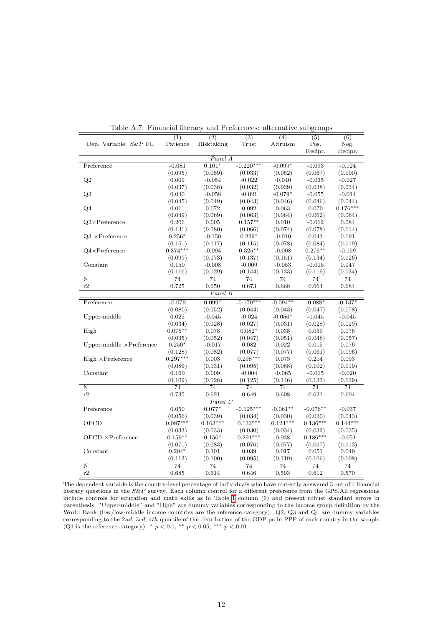|                                  | (1)                  | (2)             | (3)             | (4)        | (5)        | (6)        |  |  |
|----------------------------------|----------------------|-----------------|-----------------|------------|------------|------------|--|--|
| Dep. Variable: $S\&P$ FL         | Patience             | Risktaking      | Trust           | Altruism   | Pos.       | Neg.       |  |  |
|                                  |                      |                 |                 |            | Recipr.    | Recipr.    |  |  |
|                                  | $\overline{Panel}$ A |                 |                 |            |            |            |  |  |
| Preference                       | $-0.081$             | $0.101*$        | $-0.220***$     | $-0.099*$  | $-0.093$   | $-0.124$   |  |  |
|                                  | (0.095)              | (0.059)         | (0.033)         | (0.052)    | (0.067)    | (0.100)    |  |  |
| Q2                               | 0.009                | $-0.054$        | $-0.022$        | $-0.040$   | $-0.035$   | $-0.027$   |  |  |
|                                  | (0.037)              | (0.038)         | (0.032)         | (0.039)    | (0.038)    | (0.034)    |  |  |
| Q3                               | 0.040                | $-0.058$        | $-0.021$        | $-0.079*$  | $-0.055$   | $-0.014$   |  |  |
|                                  | (0.045)              | (0.049)         | (0.043)         | (0.046)    | (0.046)    | (0.044)    |  |  |
| Q <sub>4</sub>                   | 0.011                | 0.072           | 0.092           | 0.063      | 0.070      | $0.176***$ |  |  |
|                                  | (0.049)              | (0.069)         | (0.063)         | (0.064)    | (0.062)    | (0.064)    |  |  |
| $Q2\times$ Preference            | 0.206                | 0.005           | $0.157**$       | 0.010      | $-0.012$   | 0.084      |  |  |
|                                  | (0.131)              | (0.080)         | (0.066)         | (0.074)    | (0.078)    | (0.114)    |  |  |
| $Q3 \times$ Preference           | $0.256*$             | $-0.150$        | $0.229*$        | $-0.010$   | 0.043      | 0.191      |  |  |
|                                  | (0.151)              | (0.117)         | (0.115)         | (0.078)    | (0.084)    | (0.119)    |  |  |
| $Q4\times$ Preference            | $0.374***$           | $-0.094$        | $0.325***$      | $-0.008$   | $0.276***$ | $-0.159$   |  |  |
|                                  | (0.099)              | (0.173)         | (0.137)         | (0.151)    | (0.134)    | (0.126)    |  |  |
| Constant                         | 0.150                | $-0.008$        | $-0.009$        | $-0.053$   | $-0.015$   | 0.147      |  |  |
|                                  | (0.116)              | (0.129)         | (0.144)         | (0.133)    | (0.119)    | (0.134)    |  |  |
| Ν                                | 74                   | 74              | 74              | 74         | 74         | 74         |  |  |
| r2                               | 0.725                | 0.650           | 0.673           | 0.668      | 0.664      | 0.684      |  |  |
|                                  |                      | Panel B         |                 |            |            |            |  |  |
|                                  |                      |                 |                 |            |            |            |  |  |
| Preference                       | $-0.079$             | $0.099*$        | $-0.170***$     | $-0.094**$ | $-0.088*$  | $-0.137*$  |  |  |
|                                  | (0.080)              | (0.052)         | (0.044)         | (0.043)    | (0.047)    | (0.078)    |  |  |
| Upper-middle                     | 0.025                | $-0.045$        | $-0.024$        | $-0.056*$  | $-0.045$   | $-0.045$   |  |  |
|                                  | (0.034)              | (0.028)         | (0.027)         | (0.031)    | (0.028)    | (0.029)    |  |  |
| High                             | $0.075**$            | 0.078           | $0.082*$        | 0.038      | 0.059      | 0.076      |  |  |
|                                  | (0.035)              | (0.052)         | (0.047)         | (0.051)    | (0.048)    | (0.057)    |  |  |
| Upper-middle $\times$ Preference | $0.250*$             | $-0.017$        | 0.082           | 0.022      | 0.015      | 0.076      |  |  |
|                                  | (0.128)              | (0.082)         | (0.077)         | (0.077)    | (0.061)    | (0.096)    |  |  |
| $High \times Preference$         | $0.297***$           | 0.003           | $0.298***$      | 0.073      | 0.214      | 0.093      |  |  |
|                                  | (0.089)              | (0.131)         | (0.095)         | (0.088)    | (0.102)    | (0.119)    |  |  |
| Constant                         | 0.160                | 0.009           | $-0.004$        | $-0.065$   | $-0.015$   | $-0.020$   |  |  |
|                                  | (0.109)              | (0.128)         | (0.125)         | (0.146)    | (0.133)    | (0.139)    |  |  |
| $\overline{\rm N}$               | 74                   | 74              | 74              | 74         | 74         | 74         |  |  |
| r2                               | 0.735                | 0.621           | 0.649           | 0.608      | 0.621      | 0.604      |  |  |
| Panel C                          |                      |                 |                 |            |            |            |  |  |
| Preference                       | 0.050                | $0.077*$        | $-0.125***$     | $-0.061**$ | $-0.076**$ | $-0.037$   |  |  |
|                                  | (0.056)              | (0.039)         | (0.034)         | (0.030)    | (0.030)    | (0.043)    |  |  |
| OECD                             | $0.087***$           | $0.163***$      | $0.133***$      | $0.124***$ | $0.136***$ | $0.144***$ |  |  |
|                                  | (0.033)              | (0.033)         | (0.030)         | (0.034)    | (0.032)    | (0.035)    |  |  |
| $OECD \times Preference$         | $0.159**$            | $0.156*$        | $0.291***$      | 0.038      | $0.186***$ | $-0.051$   |  |  |
|                                  | (0.071)              | (0.083)         | (0.076)         | (0.077)    | (0.067)    | (0.113)    |  |  |
| Constant                         | $0.204*$             | 0.101           | 0.039           | 0.017      | 0.051      | 0.049      |  |  |
|                                  | (0.113)              | (0.100)         | (0.095)         | (0.119)    | (0.106)    |            |  |  |
|                                  |                      |                 | $\overline{74}$ |            |            | (0.108)    |  |  |
| $\overline{\text{N}}$            | 74                   | $\overline{74}$ |                 | 74         | 74         | 74         |  |  |
| r2                               | 0.685                | 0.614           | 0.646           | 0.593      | 0.612      | 0.570      |  |  |

Table A.7: Financial literacy and Preferences: alternative subgroups

The dependent variable is the country-level percentage of individuals who have correctly answered 3 out of 4 financial literacy questions in the *S&P* survey. Each column control for a different preference from the GPS.All regressions include controls for education and math skills as in Table  $\boxed{1}$  column (6) and present robust standard errors in parenthesis. "Upper-middle" and "High" are dummy variables corresponding to the income group definition by the World Bank (low/low-middle income countries are the reference category). Q2, Q3 and Q4 are dummy variables corresponding to the 2*nd*, 3*rd*, 4*th* quartile of the distribution of the GDP pc in PPP of each country in the sample  $(Q1$  is the reference category).  $p < 0.1$ ,  $p < 0.05$ ,  $p > 0.01$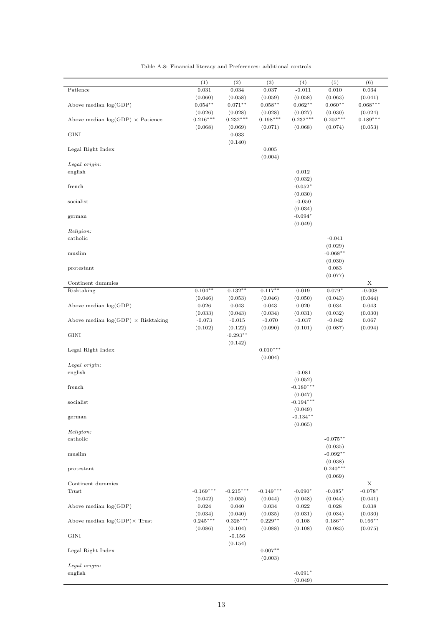|                                           | (1)         | (2)                    | (3)         | (4)           | (5)        | (6)         |
|-------------------------------------------|-------------|------------------------|-------------|---------------|------------|-------------|
| Patience                                  | 0.031       | 0.034                  | 0.037       | $-0.011$      | 0.010      | 0.034       |
|                                           | (0.060)     | (0.058)                | (0.059)     | (0.058)       | (0.063)    | (0.041)     |
| Above median $log(GDP)$                   | $0.054***$  | $0.071***$             | $0.058***$  | $0.062***$    | $0.060**$  | $0.068***$  |
|                                           | (0.026)     | (0.028)                | (0.028)     | (0.027)       | (0.030)    | (0.024)     |
| Above median $log(GDP) \times$ Patience   | $0.216***$  | $0.232***$             | $0.198***$  | $0.232^{***}$ | $0.202***$ | $0.189***$  |
|                                           | (0.068)     | (0.069)                | (0.071)     | (0.068)       | (0.074)    | (0.053)     |
| <b>GINI</b>                               |             | 0.033                  |             |               |            |             |
|                                           |             | (0.140)                |             |               |            |             |
| Legal Right Index                         |             |                        | 0.005       |               |            |             |
|                                           |             |                        | (0.004)     |               |            |             |
| Legal origin:                             |             |                        |             |               |            |             |
|                                           |             |                        |             |               |            |             |
| english                                   |             |                        |             | 0.012         |            |             |
|                                           |             |                        |             | (0.032)       |            |             |
| french                                    |             |                        |             | $-0.052*$     |            |             |
|                                           |             |                        |             | (0.030)       |            |             |
| socialist                                 |             |                        |             | $-0.050$      |            |             |
|                                           |             |                        |             | (0.034)       |            |             |
| german                                    |             |                        |             | $-0.094*$     |            |             |
|                                           |             |                        |             | (0.049)       |            |             |
| Religion:                                 |             |                        |             |               |            |             |
| catholic                                  |             |                        |             |               | $-0.041$   |             |
|                                           |             |                        |             |               | (0.029)    |             |
| muslim                                    |             |                        |             |               | $-0.068**$ |             |
|                                           |             |                        |             |               | (0.030)    |             |
| protestant                                |             |                        |             |               | 0.083      |             |
|                                           |             |                        |             |               | (0.077)    |             |
| Continent dummies                         |             |                        |             |               |            | X           |
| Risktaking                                | $0.104**$   | $0.132**$              | $0.117***$  | 0.019         | $0.079*$   | $-0.008$    |
|                                           | (0.046)     | (0.053)                | (0.046)     | (0.050)       | (0.043)    | (0.044)     |
| Above median $log(GDP)$                   | 0.026       | 0.043                  | 0.043       | 0.020         | 0.034      | 0.043       |
|                                           |             |                        |             |               |            |             |
|                                           | (0.033)     | (0.043)                | (0.034)     | (0.031)       | (0.032)    | (0.030)     |
| Above median $log(GDP) \times Risktaking$ | $-0.073$    | $-0.015$               | $-0.070$    | $-0.037$      | $-0.042$   | 0.067       |
|                                           | (0.102)     | (0.122)                | (0.090)     | (0.101)       | (0.087)    | (0.094)     |
| <b>GINI</b>                               |             | $-0.293***$            |             |               |            |             |
|                                           |             | (0.142)                |             |               |            |             |
| Legal Right Index                         |             |                        | $0.010***$  |               |            |             |
|                                           |             |                        | (0.004)     |               |            |             |
| Legal origin:                             |             |                        |             |               |            |             |
| english                                   |             |                        |             | $-0.081$      |            |             |
|                                           |             |                        |             | (0.052)       |            |             |
| french                                    |             |                        |             | $-0.180***$   |            |             |
|                                           |             |                        |             | (0.047)       |            |             |
| socialist                                 |             |                        |             | $-0.194***$   |            |             |
|                                           |             |                        |             | (0.049)       |            |             |
| german                                    |             |                        |             | $-0.134**$    |            |             |
|                                           |             |                        |             | (0.065)       |            |             |
| Religion:                                 |             |                        |             |               |            |             |
|                                           |             |                        |             |               | $-0.075**$ |             |
| catholic                                  |             |                        |             |               |            |             |
|                                           |             |                        |             |               | (0.035)    |             |
| muslim                                    |             |                        |             |               | $-0.092**$ |             |
|                                           |             |                        |             |               | (0.038)    |             |
| protestant                                |             |                        |             |               | $0.240***$ |             |
|                                           |             |                        |             |               | (0.069)    |             |
| Continent dummies                         |             |                        |             |               |            | Х           |
| Trust                                     | $-0.169***$ | $-0.215***$            | $-0.149***$ | $-0.090*$     | $-0.085*$  | $-0.078*$   |
|                                           | (0.042)     | (0.055)                | (0.044)     | (0.048)       | (0.044)    | (0.041)     |
| Above median $log(GDP)$                   | 0.024       | 0.040                  | $\,0.034\,$ | 0.022         | 0.028      | $\,0.038\,$ |
|                                           | (0.034)     | (0.040)                | (0.035)     | (0.031)       | (0.034)    | (0.030)     |
| Above median $log(GDP) \times$ Trust      | $0.245***$  | $0.328^{\ast\ast\ast}$ | $0.229**$   | 0.108         | $0.186**$  | $0.166***$  |
|                                           | (0.086)     | (0.104)                | (0.088)     | (0.108)       | (0.083)    | (0.075)     |
| GINI                                      |             | $-0.156$               |             |               |            |             |
|                                           |             | (0.154)                |             |               |            |             |
| Legal Right Index                         |             |                        | $0.007**$   |               |            |             |
|                                           |             |                        |             |               |            |             |
|                                           |             |                        | (0.003)     |               |            |             |
| Legal origin:                             |             |                        |             |               |            |             |
| english                                   |             |                        |             | $-0.091*$     |            |             |
|                                           |             |                        |             | (0.049)       |            |             |

Table A.8: Financial literacy and Preferences: additional controls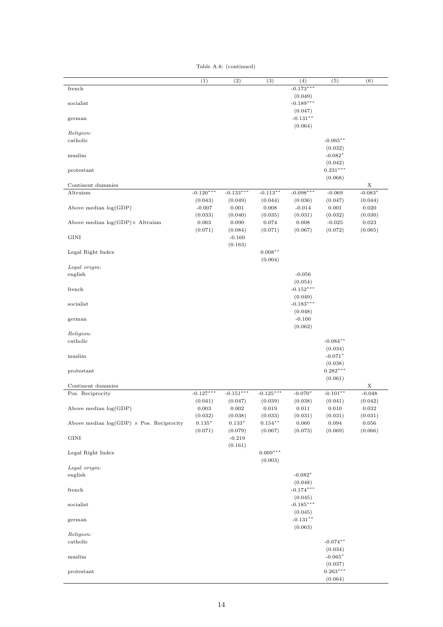Table A.8: (continued)

|                                                  | (1)                         | (2)                         | (3)                         | (4)                               | (5)                              | (6)                         |
|--------------------------------------------------|-----------------------------|-----------------------------|-----------------------------|-----------------------------------|----------------------------------|-----------------------------|
| french                                           |                             |                             |                             | $-0.173***$<br>(0.049)            |                                  |                             |
| socialist                                        |                             |                             |                             | $-0.189***$<br>(0.047)            |                                  |                             |
| german                                           |                             |                             |                             | $-0.131**$<br>(0.064)             |                                  |                             |
| Religion:<br>catholic                            |                             |                             |                             |                                   | $-0.065**$                       |                             |
| muslim                                           |                             |                             |                             |                                   | (0.032)<br>$-0.082*$             |                             |
| protestant                                       |                             |                             |                             |                                   | (0.042)<br>$0.231***$<br>(0.068) |                             |
| Continent dummies                                |                             |                             |                             |                                   |                                  | Х                           |
| Altruism                                         | $-0.120***$<br>(0.043)      | $-0.133***$<br>(0.049)      | $-0.113**$<br>(0.044)       | $-0.098***$<br>(0.036)            | $-0.069$<br>(0.047)              | $-0.083*$<br>(0.044)        |
| Above median $log(GDP)$                          | $-0.007$<br>(0.033)         | $\rm 0.001$<br>(0.040)      | 0.008<br>(0.035)            | $-0.014$<br>(0.031)               | $\rm 0.001$<br>(0.032)           | $\rm 0.020$<br>(0.030)      |
| Above median $log(GDP) \times$ Altruism          | 0.063<br>(0.071)            | 0.090<br>(0.084)            | 0.074<br>(0.071)            | $\rm 0.008$<br>(0.067)            | $-0.025$<br>(0.072)              | $\,0.023\,$<br>(0.065)      |
| <b>GINI</b>                                      |                             | $-0.160$<br>(0.163)         |                             |                                   |                                  |                             |
| Legal Right Index                                |                             |                             | $0.008**$<br>(0.004)        |                                   |                                  |                             |
| Legal origin:                                    |                             |                             |                             |                                   |                                  |                             |
| english                                          |                             |                             |                             | $-0.056$<br>(0.054)               |                                  |                             |
| french                                           |                             |                             |                             | $-0.152***$<br>(0.049)            |                                  |                             |
| socialist                                        |                             |                             |                             | $-0.183***$<br>(0.048)            |                                  |                             |
| german                                           |                             |                             |                             | $-0.100$<br>(0.062)               |                                  |                             |
| Religion:<br>catholic                            |                             |                             |                             |                                   | $-0.084**$                       |                             |
| muslim                                           |                             |                             |                             |                                   | (0.034)<br>$-0.071*$<br>(0.038)  |                             |
| protestant                                       |                             |                             |                             |                                   | $0.282***$<br>(0.061)            |                             |
| Continent dummies                                |                             |                             |                             |                                   |                                  | X                           |
| Pos. Reciprocity                                 | $-0.127***$                 | $-0.151***$                 | $-0.125***$                 | $-0.070*$                         | $-0.101**$                       | $-0.048$                    |
| Above median $\log(\mathrm{GDP})$                | (0.041)<br>0.003<br>(0.032) | (0.047)<br>0.002<br>(0.038) | (0.039)<br>0.019<br>(0.033) | (0.038)<br>0.011<br>(0.031)       | (0.041)<br>0.010<br>(0.031)      | (0.042)<br>0.032<br>(0.031) |
| Above median $log(GDP) \times Pos$ . Reciprocity | $0.135^{\ast}$<br>(0.071)   | $0.133^{\ast}$<br>(0.079)   | $0.154***$<br>(0.067)       | 0.060<br>(0.073)                  | 0.094<br>(0.069)                 | 0.056<br>(0.066)            |
| $\rm GINI$                                       |                             | $-0.219$<br>(0.161)         |                             |                                   |                                  |                             |
| Legal Right Index                                |                             |                             | $0.009***$<br>(0.003)       |                                   |                                  |                             |
| Legal origin:                                    |                             |                             |                             |                                   |                                  |                             |
| english                                          |                             |                             |                             | $-0.082*$                         |                                  |                             |
| ${\rm {\rm {\bf french}} }$                      |                             |                             |                             | (0.048)<br>$-0.174***$<br>(0.045) |                                  |                             |
| socialist                                        |                             |                             |                             | $-0.185***$<br>(0.045)            |                                  |                             |
| german                                           |                             |                             |                             | $-0.131***$<br>(0.063)            |                                  |                             |
| Religion:<br>catholic                            |                             |                             |                             |                                   | $-0.074**$                       |                             |
| muslim                                           |                             |                             |                             |                                   | (0.034)<br>$-0.065*$             |                             |
| protestant                                       |                             |                             |                             |                                   | (0.037)<br>$0.263***$            |                             |
|                                                  |                             |                             |                             |                                   | (0.064)                          |                             |